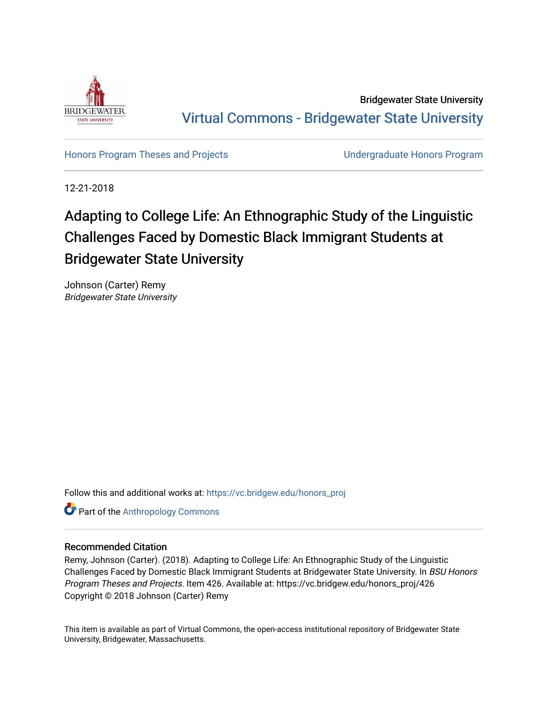

Bridgewater State University [Virtual Commons - Bridgewater State University](https://vc.bridgew.edu/) 

[Honors Program Theses and Projects](https://vc.bridgew.edu/honors_proj) [Undergraduate Honors Program](https://vc.bridgew.edu/honors) 

12-21-2018

# Adapting to College Life: An Ethnographic Study of the Linguistic Challenges Faced by Domestic Black Immigrant Students at Bridgewater State University

Johnson (Carter) Remy Bridgewater State University

Follow this and additional works at: [https://vc.bridgew.edu/honors\\_proj](https://vc.bridgew.edu/honors_proj?utm_source=vc.bridgew.edu%2Fhonors_proj%2F426&utm_medium=PDF&utm_campaign=PDFCoverPages)



## Recommended Citation

Remy, Johnson (Carter). (2018). Adapting to College Life: An Ethnographic Study of the Linguistic Challenges Faced by Domestic Black Immigrant Students at Bridgewater State University. In BSU Honors Program Theses and Projects. Item 426. Available at: https://vc.bridgew.edu/honors\_proj/426 Copyright © 2018 Johnson (Carter) Remy

This item is available as part of Virtual Commons, the open-access institutional repository of Bridgewater State University, Bridgewater, Massachusetts.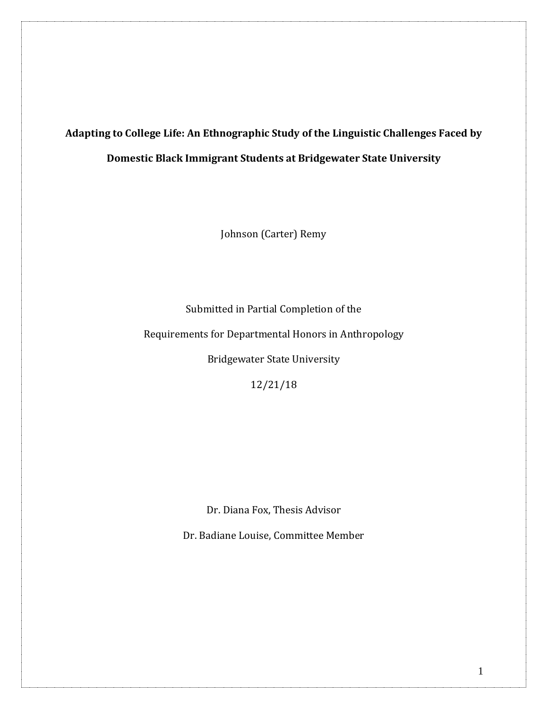## **Adapting to College Life: An Ethnographic Study of the Linguistic Challenges Faced by Domestic Black Immigrant Students at Bridgewater State University**

Johnson (Carter) Remy

Submitted in Partial Completion of the

Requirements for Departmental Honors in Anthropology

Bridgewater State University

12/21/18

Dr. Diana Fox, Thesis Advisor

Dr. Badiane Louise, Committee Member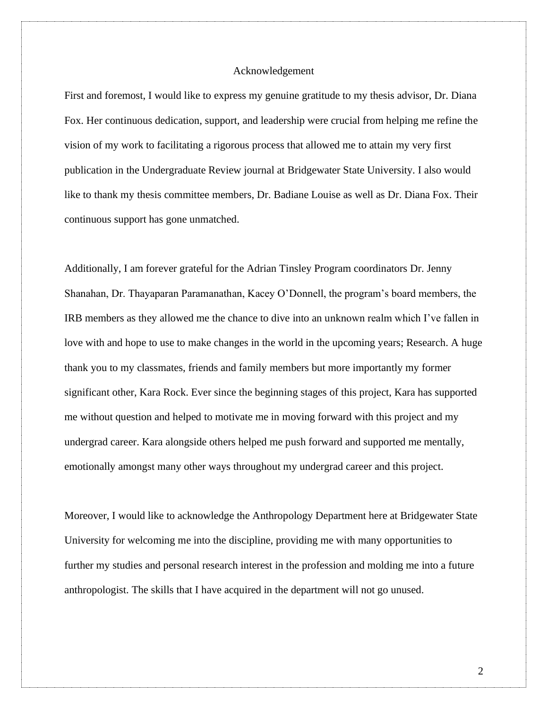## Acknowledgement

First and foremost, I would like to express my genuine gratitude to my thesis advisor, Dr. Diana Fox. Her continuous dedication, support, and leadership were crucial from helping me refine the vision of my work to facilitating a rigorous process that allowed me to attain my very first publication in the Undergraduate Review journal at Bridgewater State University. I also would like to thank my thesis committee members, Dr. Badiane Louise as well as Dr. Diana Fox. Their continuous support has gone unmatched.

Additionally, I am forever grateful for the Adrian Tinsley Program coordinators Dr. Jenny Shanahan, Dr. Thayaparan Paramanathan, Kacey O'Donnell, the program's board members, the IRB members as they allowed me the chance to dive into an unknown realm which I've fallen in love with and hope to use to make changes in the world in the upcoming years; Research. A huge thank you to my classmates, friends and family members but more importantly my former significant other, Kara Rock. Ever since the beginning stages of this project, Kara has supported me without question and helped to motivate me in moving forward with this project and my undergrad career. Kara alongside others helped me push forward and supported me mentally, emotionally amongst many other ways throughout my undergrad career and this project.

Moreover, I would like to acknowledge the Anthropology Department here at Bridgewater State University for welcoming me into the discipline, providing me with many opportunities to further my studies and personal research interest in the profession and molding me into a future anthropologist. The skills that I have acquired in the department will not go unused.

2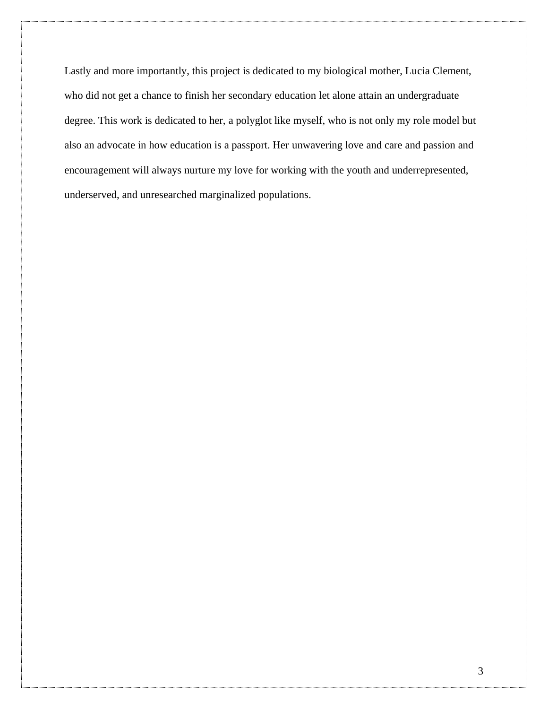Lastly and more importantly, this project is dedicated to my biological mother, Lucia Clement, who did not get a chance to finish her secondary education let alone attain an undergraduate degree. This work is dedicated to her, a polyglot like myself, who is not only my role model but also an advocate in how education is a passport. Her unwavering love and care and passion and encouragement will always nurture my love for working with the youth and underrepresented, underserved, and unresearched marginalized populations.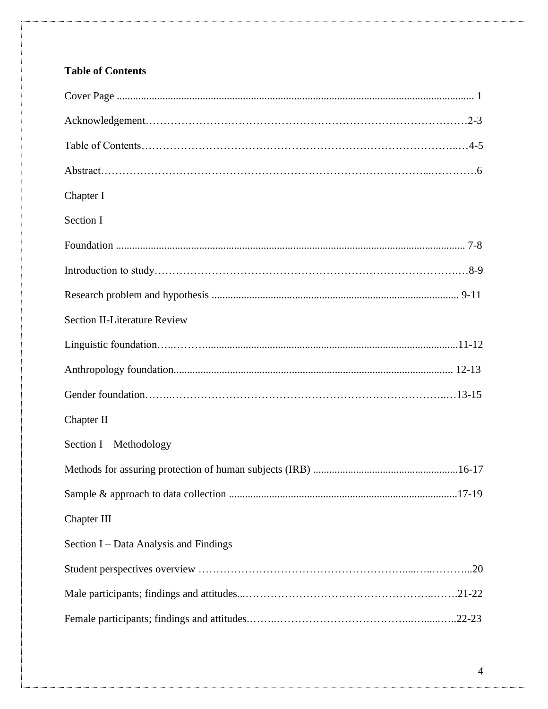## **Table of Contents**

| Chapter I                              |
|----------------------------------------|
| Section I                              |
|                                        |
|                                        |
|                                        |
| <b>Section II-Literature Review</b>    |
|                                        |
|                                        |
|                                        |
| Chapter II                             |
| Section I – Methodology                |
|                                        |
|                                        |
| Chapter III                            |
| Section I – Data Analysis and Findings |
|                                        |
|                                        |
|                                        |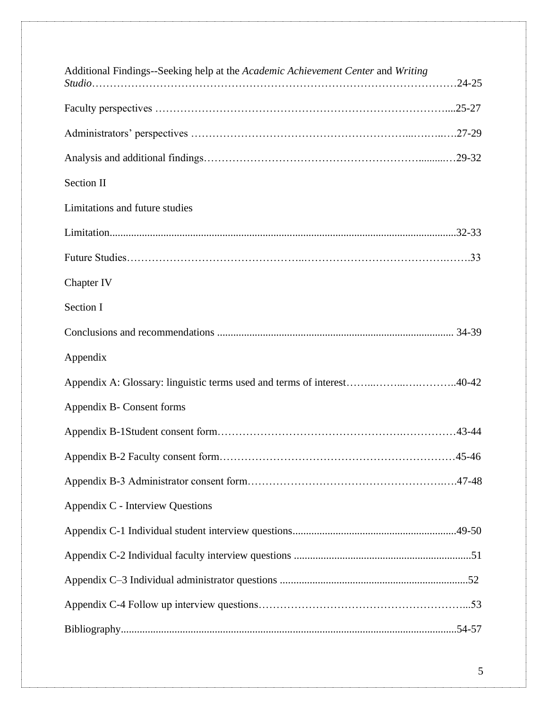| Additional Findings--Seeking help at the Academic Achievement Center and Writing |
|----------------------------------------------------------------------------------|
|                                                                                  |
|                                                                                  |
|                                                                                  |
| <b>Section II</b>                                                                |
| Limitations and future studies                                                   |
|                                                                                  |
|                                                                                  |
| Chapter IV                                                                       |
| Section I                                                                        |
|                                                                                  |
| Appendix                                                                         |
| Appendix A: Glossary: linguistic terms used and terms of interest40-42           |
| Appendix B- Consent forms                                                        |
|                                                                                  |
| $\ldots \ldots \ldots \ldots 45-46$                                              |
|                                                                                  |
| Appendix C - Interview Questions                                                 |
|                                                                                  |
|                                                                                  |
|                                                                                  |
|                                                                                  |
|                                                                                  |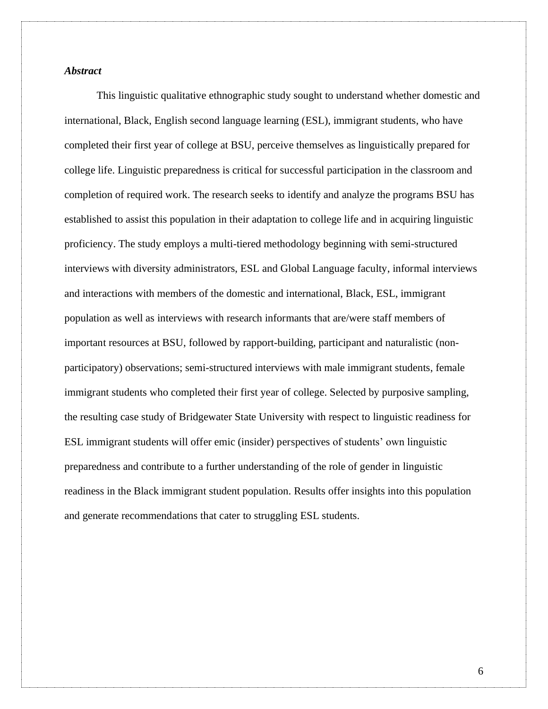## *Abstract*

This linguistic qualitative ethnographic study sought to understand whether domestic and international, Black, English second language learning (ESL), immigrant students, who have completed their first year of college at BSU, perceive themselves as linguistically prepared for college life. Linguistic preparedness is critical for successful participation in the classroom and completion of required work. The research seeks to identify and analyze the programs BSU has established to assist this population in their adaptation to college life and in acquiring linguistic proficiency. The study employs a multi-tiered methodology beginning with semi-structured interviews with diversity administrators, ESL and Global Language faculty, informal interviews and interactions with members of the domestic and international, Black, ESL, immigrant population as well as interviews with research informants that are/were staff members of important resources at BSU, followed by rapport-building, participant and naturalistic (nonparticipatory) observations; semi-structured interviews with male immigrant students, female immigrant students who completed their first year of college. Selected by purposive sampling, the resulting case study of Bridgewater State University with respect to linguistic readiness for ESL immigrant students will offer emic (insider) perspectives of students' own linguistic preparedness and contribute to a further understanding of the role of gender in linguistic readiness in the Black immigrant student population. Results offer insights into this population and generate recommendations that cater to struggling ESL students.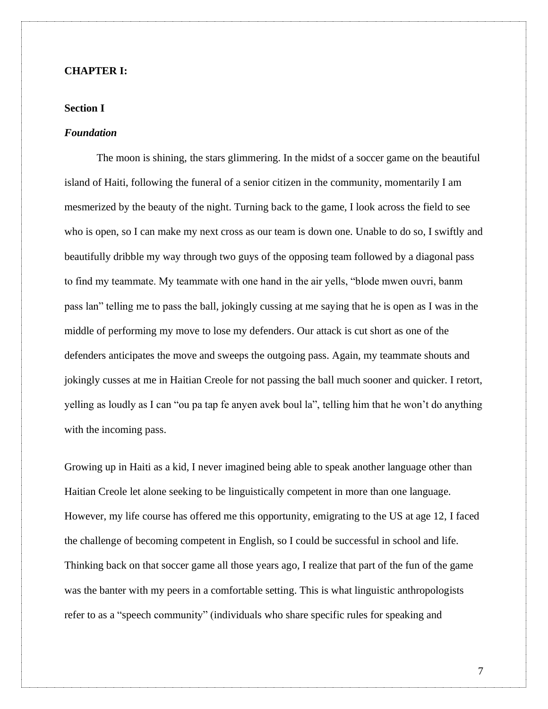## **CHAPTER I:**

#### **Section I**

## *Foundation*

The moon is shining, the stars glimmering. In the midst of a soccer game on the beautiful island of Haiti, following the funeral of a senior citizen in the community, momentarily I am mesmerized by the beauty of the night. Turning back to the game, I look across the field to see who is open, so I can make my next cross as our team is down one. Unable to do so, I swiftly and beautifully dribble my way through two guys of the opposing team followed by a diagonal pass to find my teammate. My teammate with one hand in the air yells, "blode mwen ouvri, banm pass lan" telling me to pass the ball, jokingly cussing at me saying that he is open as I was in the middle of performing my move to lose my defenders. Our attack is cut short as one of the defenders anticipates the move and sweeps the outgoing pass. Again, my teammate shouts and jokingly cusses at me in Haitian Creole for not passing the ball much sooner and quicker. I retort, yelling as loudly as I can "ou pa tap fe anyen avek boul la", telling him that he won't do anything with the incoming pass.

Growing up in Haiti as a kid, I never imagined being able to speak another language other than Haitian Creole let alone seeking to be linguistically competent in more than one language. However, my life course has offered me this opportunity, emigrating to the US at age 12, I faced the challenge of becoming competent in English, so I could be successful in school and life. Thinking back on that soccer game all those years ago, I realize that part of the fun of the game was the banter with my peers in a comfortable setting. This is what linguistic anthropologists refer to as a "speech community" (individuals who share specific rules for speaking and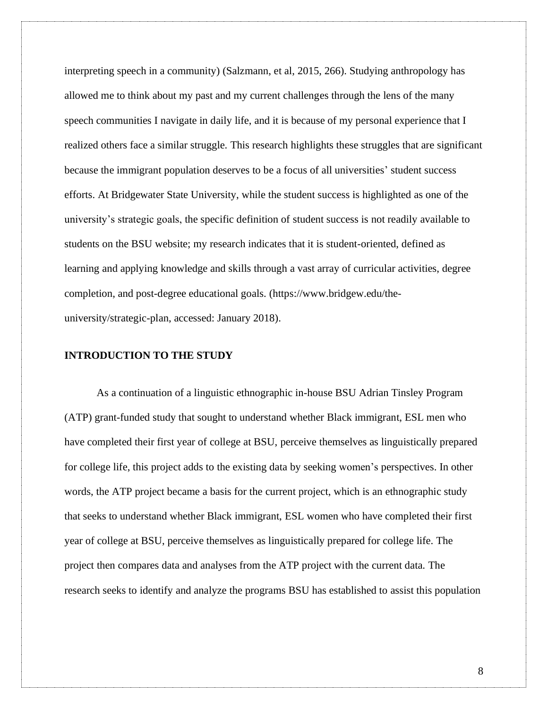interpreting speech in a community) (Salzmann, et al, 2015, 266). Studying anthropology has allowed me to think about my past and my current challenges through the lens of the many speech communities I navigate in daily life, and it is because of my personal experience that I realized others face a similar struggle. This research highlights these struggles that are significant because the immigrant population deserves to be a focus of all universities' student success efforts. At Bridgewater State University, while the student success is highlighted as one of the university's strategic goals, the specific definition of student success is not readily available to students on the BSU website; my research indicates that it is student-oriented, defined as learning and applying knowledge and skills through a vast array of curricular activities, degree completion, and post-degree educational goals. (https://www.bridgew.edu/theuniversity/strategic-plan, accessed: January 2018).

## **INTRODUCTION TO THE STUDY**

As a continuation of a linguistic ethnographic in-house BSU Adrian Tinsley Program (ATP) grant-funded study that sought to understand whether Black immigrant, ESL men who have completed their first year of college at BSU, perceive themselves as linguistically prepared for college life, this project adds to the existing data by seeking women's perspectives. In other words, the ATP project became a basis for the current project, which is an ethnographic study that seeks to understand whether Black immigrant, ESL women who have completed their first year of college at BSU, perceive themselves as linguistically prepared for college life. The project then compares data and analyses from the ATP project with the current data. The research seeks to identify and analyze the programs BSU has established to assist this population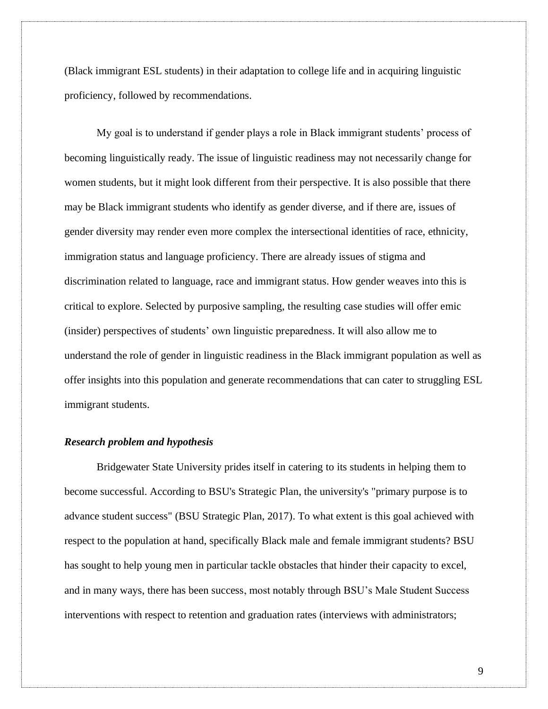(Black immigrant ESL students) in their adaptation to college life and in acquiring linguistic proficiency, followed by recommendations.

My goal is to understand if gender plays a role in Black immigrant students' process of becoming linguistically ready. The issue of linguistic readiness may not necessarily change for women students, but it might look different from their perspective. It is also possible that there may be Black immigrant students who identify as gender diverse, and if there are, issues of gender diversity may render even more complex the intersectional identities of race, ethnicity, immigration status and language proficiency. There are already issues of stigma and discrimination related to language, race and immigrant status. How gender weaves into this is critical to explore. Selected by purposive sampling, the resulting case studies will offer emic (insider) perspectives of students' own linguistic preparedness. It will also allow me to understand the role of gender in linguistic readiness in the Black immigrant population as well as offer insights into this population and generate recommendations that can cater to struggling ESL immigrant students.

## *Research problem and hypothesis*

Bridgewater State University prides itself in catering to its students in helping them to become successful. According to BSU's Strategic Plan, the university's "primary purpose is to advance student success" (BSU Strategic Plan, 2017). To what extent is this goal achieved with respect to the population at hand, specifically Black male and female immigrant students? BSU has sought to help young men in particular tackle obstacles that hinder their capacity to excel, and in many ways, there has been success, most notably through BSU's Male Student Success interventions with respect to retention and graduation rates (interviews with administrators;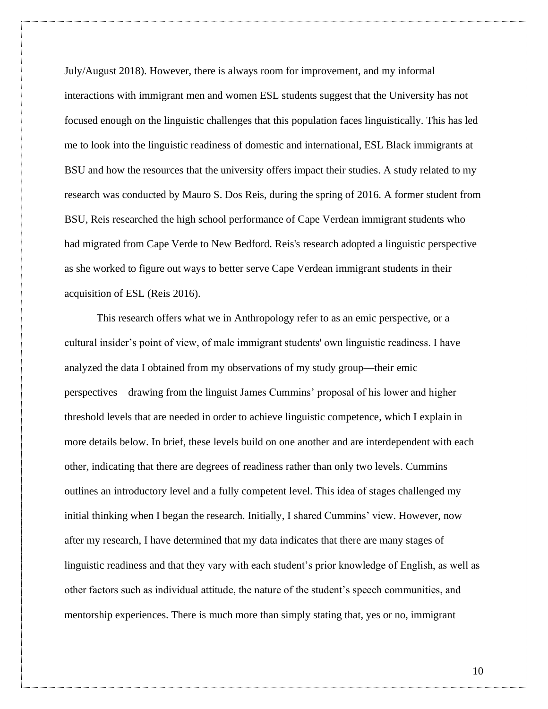July/August 2018). However, there is always room for improvement, and my informal interactions with immigrant men and women ESL students suggest that the University has not focused enough on the linguistic challenges that this population faces linguistically. This has led me to look into the linguistic readiness of domestic and international, ESL Black immigrants at BSU and how the resources that the university offers impact their studies. A study related to my research was conducted by Mauro S. Dos Reis, during the spring of 2016. A former student from BSU, Reis researched the high school performance of Cape Verdean immigrant students who had migrated from Cape Verde to New Bedford. Reis's research adopted a linguistic perspective as she worked to figure out ways to better serve Cape Verdean immigrant students in their acquisition of ESL (Reis 2016).

This research offers what we in Anthropology refer to as an emic perspective, or a cultural insider's point of view, of male immigrant students' own linguistic readiness. I have analyzed the data I obtained from my observations of my study group—their emic perspectives—drawing from the linguist James Cummins' proposal of his lower and higher threshold levels that are needed in order to achieve linguistic competence, which I explain in more details below. In brief, these levels build on one another and are interdependent with each other, indicating that there are degrees of readiness rather than only two levels. Cummins outlines an introductory level and a fully competent level. This idea of stages challenged my initial thinking when I began the research. Initially, I shared Cummins' view. However, now after my research, I have determined that my data indicates that there are many stages of linguistic readiness and that they vary with each student's prior knowledge of English, as well as other factors such as individual attitude, the nature of the student's speech communities, and mentorship experiences. There is much more than simply stating that, yes or no, immigrant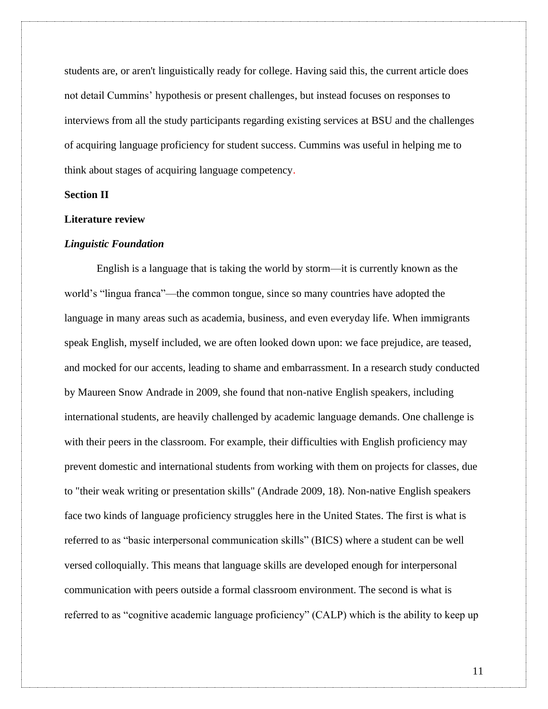students are, or aren't linguistically ready for college. Having said this, the current article does not detail Cummins' hypothesis or present challenges, but instead focuses on responses to interviews from all the study participants regarding existing services at BSU and the challenges of acquiring language proficiency for student success. Cummins was useful in helping me to think about stages of acquiring language competency.

## **Section II**

## **Literature review**

#### *Linguistic Foundation*

English is a language that is taking the world by storm—it is currently known as the world's "lingua franca"—the common tongue, since so many countries have adopted the language in many areas such as academia, business, and even everyday life. When immigrants speak English, myself included, we are often looked down upon: we face prejudice, are teased, and mocked for our accents, leading to shame and embarrassment. In a research study conducted by Maureen Snow Andrade in 2009, she found that non-native English speakers, including international students, are heavily challenged by academic language demands. One challenge is with their peers in the classroom. For example, their difficulties with English proficiency may prevent domestic and international students from working with them on projects for classes, due to "their weak writing or presentation skills" (Andrade 2009, 18). Non-native English speakers face two kinds of language proficiency struggles here in the United States. The first is what is referred to as "basic interpersonal communication skills" (BICS) where a student can be well versed colloquially. This means that language skills are developed enough for interpersonal communication with peers outside a formal classroom environment. The second is what is referred to as "cognitive academic language proficiency" (CALP) which is the ability to keep up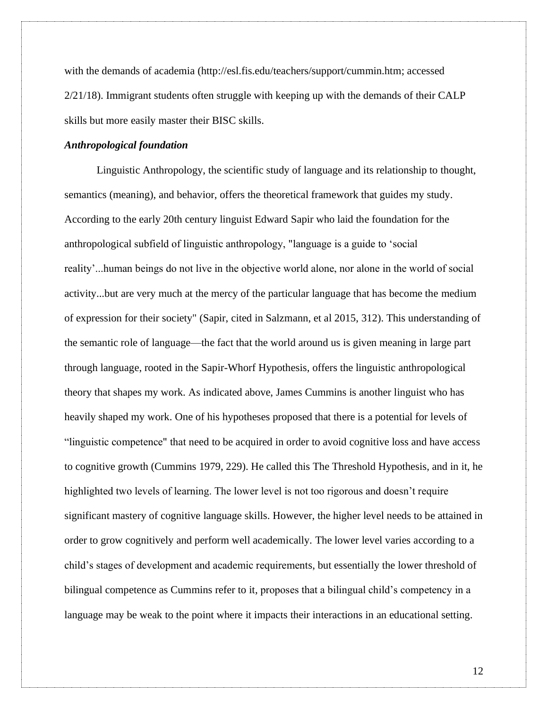with the demands of academia [\(http://esl.fis.edu/teachers/support/cummin.htm;](http://esl.fis.edu/teachers/support/cummin.htm) accessed 2/21/18). Immigrant students often struggle with keeping up with the demands of their CALP skills but more easily master their BISC skills.

## *Anthropological foundation*

Linguistic Anthropology, the scientific study of language and its relationship to thought, semantics (meaning), and behavior, offers the theoretical framework that guides my study. According to the early 20th century linguist Edward Sapir who laid the foundation for the anthropological subfield of linguistic anthropology, "language is a guide to 'social reality'...human beings do not live in the objective world alone, nor alone in the world of social activity...but are very much at the mercy of the particular language that has become the medium of expression for their society" (Sapir, cited in Salzmann, et al 2015, 312). This understanding of the semantic role of language—the fact that the world around us is given meaning in large part through language, rooted in the Sapir-Whorf Hypothesis, offers the linguistic anthropological theory that shapes my work. As indicated above, James Cummins is another linguist who has heavily shaped my work. One of his hypotheses proposed that there is a potential for levels of "linguistic competence" that need to be acquired in order to avoid cognitive loss and have access to cognitive growth (Cummins 1979, 229). He called this The Threshold Hypothesis, and in it, he highlighted two levels of learning. The lower level is not too rigorous and doesn't require significant mastery of cognitive language skills. However, the higher level needs to be attained in order to grow cognitively and perform well academically. The lower level varies according to a child's stages of development and academic requirements, but essentially the lower threshold of bilingual competence as Cummins refer to it, proposes that a bilingual child's competency in a language may be weak to the point where it impacts their interactions in an educational setting.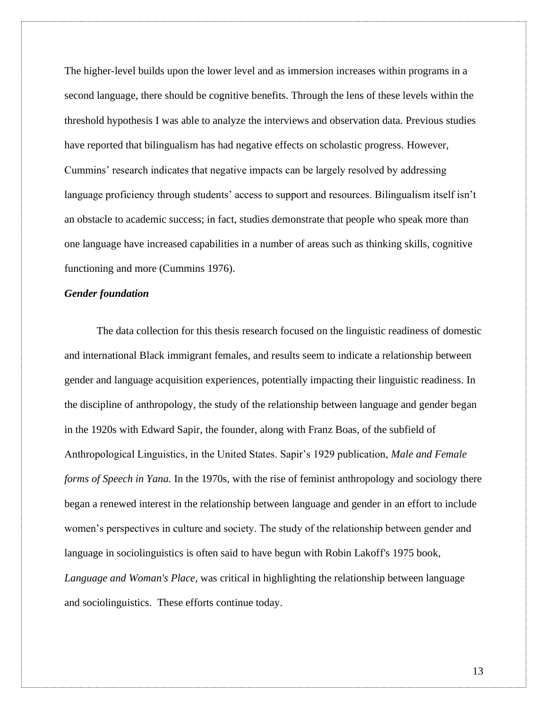The higher-level builds upon the lower level and as immersion increases within programs in a second language, there should be cognitive benefits. Through the lens of these levels within the threshold hypothesis I was able to analyze the interviews and observation data. Previous studies have reported that bilingualism has had negative effects on scholastic progress. However, Cummins' research indicates that negative impacts can be largely resolved by addressing language proficiency through students' access to support and resources. Bilingualism itself isn't an obstacle to academic success; in fact, studies demonstrate that people who speak more than one language have increased capabilities in a number of areas such as thinking skills, cognitive functioning and more (Cummins 1976).

## *Gender foundation*

The data collection for this thesis research focused on the linguistic readiness of domestic and international Black immigrant females, and results seem to indicate a relationship between gender and language acquisition experiences, potentially impacting their linguistic readiness. In the discipline of anthropology, the study of the relationship between language and gender began in the 1920s with Edward Sapir, the founder, along with Franz Boas, of the subfield of Anthropological Linguistics, in the United States. Sapir's 1929 publication, *Male and Female forms of Speech in Yana.* In the 1970s, with the rise of feminist anthropology and sociology there began a renewed interest in the relationship between language and gender in an effort to include women's perspectives in culture and society. The study of the relationship between gender and language in sociolinguistics is often said to have begun with Robin Lakoff's 1975 book*, Language and Woman's Place*, was critical in highlighting the relationship between language and sociolinguistics. These efforts continue today.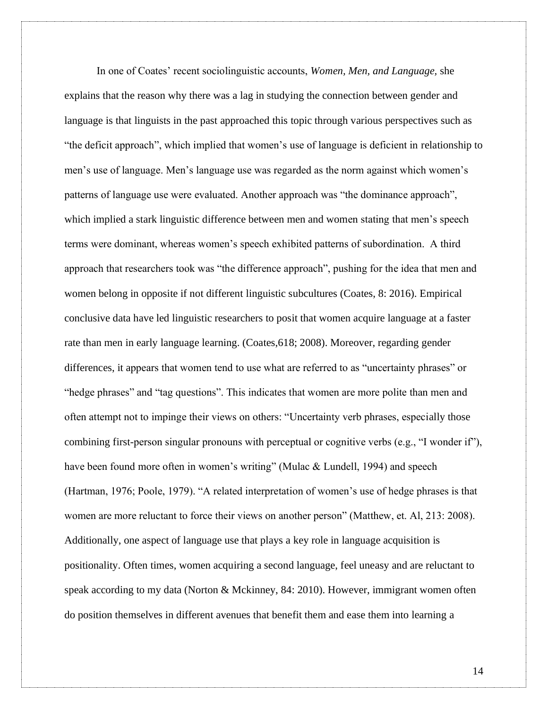In one of Coates' recent sociolinguistic accounts, *Women, Men, and Language,* she explains that the reason why there was a lag in studying the connection between gender and language is that linguists in the past approached this topic through various perspectives such as "the deficit approach", which implied that women's use of language is deficient in relationship to men's use of language. Men's language use was regarded as the norm against which women's patterns of language use were evaluated. Another approach was "the dominance approach", which implied a stark linguistic difference between men and women stating that men's speech terms were dominant, whereas women's speech exhibited patterns of subordination. A third approach that researchers took was "the difference approach", pushing for the idea that men and women belong in opposite if not different linguistic subcultures (Coates, 8: 2016). Empirical conclusive data have led linguistic researchers to posit that women acquire language at a faster rate than men in early language learning. (Coates,618; 2008). Moreover, regarding gender differences, it appears that women tend to use what are referred to as "uncertainty phrases" or "hedge phrases" and "tag questions". This indicates that women are more polite than men and often attempt not to impinge their views on others: "Uncertainty verb phrases, especially those combining first-person singular pronouns with perceptual or cognitive verbs (e.g., "I wonder if"), have been found more often in women's writing" (Mulac & Lundell, 1994) and speech (Hartman, 1976; Poole, 1979). "A related interpretation of women's use of hedge phrases is that women are more reluctant to force their views on another person" (Matthew, et. Al, 213: 2008). Additionally, one aspect of language use that plays a key role in language acquisition is positionality. Often times, women acquiring a second language, feel uneasy and are reluctant to speak according to my data (Norton & Mckinney, 84: 2010). However, immigrant women often do position themselves in different avenues that benefit them and ease them into learning a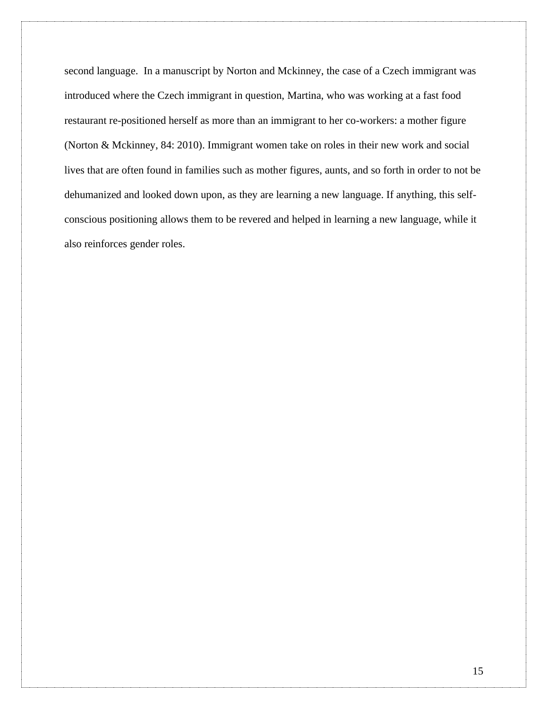second language. In a manuscript by Norton and Mckinney, the case of a Czech immigrant was introduced where the Czech immigrant in question, Martina, who was working at a fast food restaurant re-positioned herself as more than an immigrant to her co-workers: a mother figure (Norton & Mckinney, 84: 2010). Immigrant women take on roles in their new work and social lives that are often found in families such as mother figures, aunts, and so forth in order to not be dehumanized and looked down upon, as they are learning a new language. If anything, this selfconscious positioning allows them to be revered and helped in learning a new language, while it also reinforces gender roles.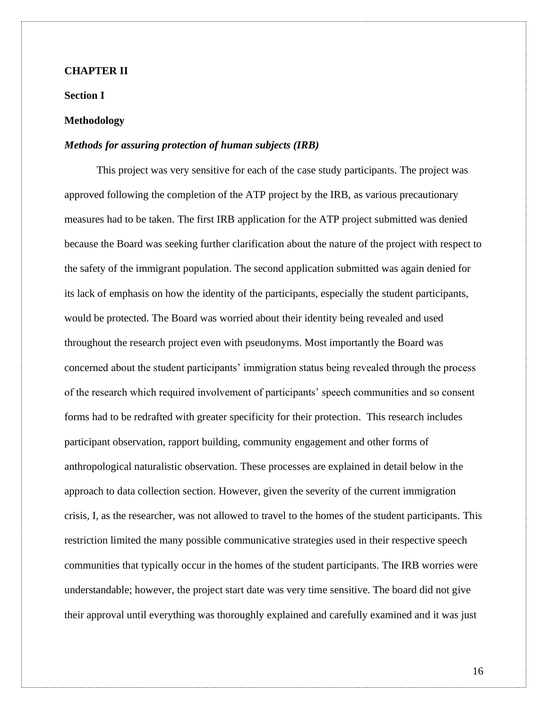## **CHAPTER II**

#### **Section I**

## **Methodology**

## *Methods for assuring protection of human subjects (IRB)*

This project was very sensitive for each of the case study participants. The project was approved following the completion of the ATP project by the IRB, as various precautionary measures had to be taken. The first IRB application for the ATP project submitted was denied because the Board was seeking further clarification about the nature of the project with respect to the safety of the immigrant population. The second application submitted was again denied for its lack of emphasis on how the identity of the participants, especially the student participants, would be protected. The Board was worried about their identity being revealed and used throughout the research project even with pseudonyms. Most importantly the Board was concerned about the student participants' immigration status being revealed through the process of the research which required involvement of participants' speech communities and so consent forms had to be redrafted with greater specificity for their protection. This research includes participant observation, rapport building, community engagement and other forms of anthropological naturalistic observation. These processes are explained in detail below in the approach to data collection section. However, given the severity of the current immigration crisis, I, as the researcher, was not allowed to travel to the homes of the student participants. This restriction limited the many possible communicative strategies used in their respective speech communities that typically occur in the homes of the student participants. The IRB worries were understandable; however, the project start date was very time sensitive. The board did not give their approval until everything was thoroughly explained and carefully examined and it was just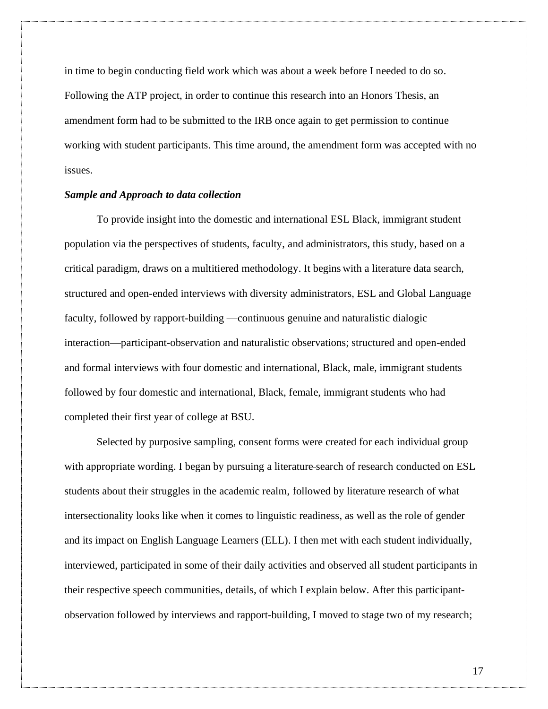in time to begin conducting field work which was about a week before I needed to do so. Following the ATP project, in order to continue this research into an Honors Thesis, an amendment form had to be submitted to the IRB once again to get permission to continue working with student participants. This time around, the amendment form was accepted with no issues.

## *Sample and Approach to data collection*

To provide insight into the domestic and international ESL Black, immigrant student population via the perspectives of students, faculty, and administrators, this study, based on a critical paradigm, draws on a multitiered methodology. It begins with a literature data search, structured and open-ended interviews with diversity administrators, ESL and Global Language faculty, followed by rapport-building —continuous genuine and naturalistic dialogic interaction—participant-observation and naturalistic observations; structured and open-ended and formal interviews with four domestic and international, Black, male, immigrant students followed by four domestic and international, Black, female, immigrant students who had completed their first year of college at BSU.

Selected by purposive sampling, consent forms were created for each individual group with appropriate wording. I began by pursuing a literature search of research conducted on ESL students about their struggles in the academic realm, followed by literature research of what intersectionality looks like when it comes to linguistic readiness, as well as the role of gender and its impact on English Language Learners (ELL). I then met with each student individually, interviewed, participated in some of their daily activities and observed all student participants in their respective speech communities, details, of which I explain below. After this participantobservation followed by interviews and rapport-building, I moved to stage two of my research;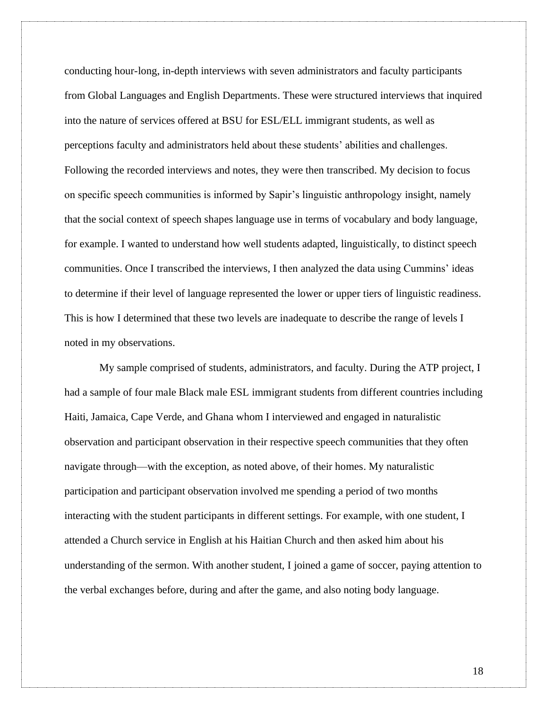conducting hour-long, in-depth interviews with seven administrators and faculty participants from Global Languages and English Departments. These were structured interviews that inquired into the nature of services offered at BSU for ESL/ELL immigrant students, as well as perceptions faculty and administrators held about these students' abilities and challenges. Following the recorded interviews and notes, they were then transcribed. My decision to focus on specific speech communities is informed by Sapir's linguistic anthropology insight, namely that the social context of speech shapes language use in terms of vocabulary and body language, for example. I wanted to understand how well students adapted, linguistically, to distinct speech communities. Once I transcribed the interviews, I then analyzed the data using Cummins' ideas to determine if their level of language represented the lower or upper tiers of linguistic readiness. This is how I determined that these two levels are inadequate to describe the range of levels I noted in my observations.

My sample comprised of students, administrators, and faculty. During the ATP project, I had a sample of four male Black male ESL immigrant students from different countries including Haiti, Jamaica, Cape Verde, and Ghana whom I interviewed and engaged in naturalistic observation and participant observation in their respective speech communities that they often navigate through—with the exception, as noted above, of their homes. My naturalistic participation and participant observation involved me spending a period of two months interacting with the student participants in different settings. For example, with one student, I attended a Church service in English at his Haitian Church and then asked him about his understanding of the sermon. With another student, I joined a game of soccer, paying attention to the verbal exchanges before, during and after the game, and also noting body language.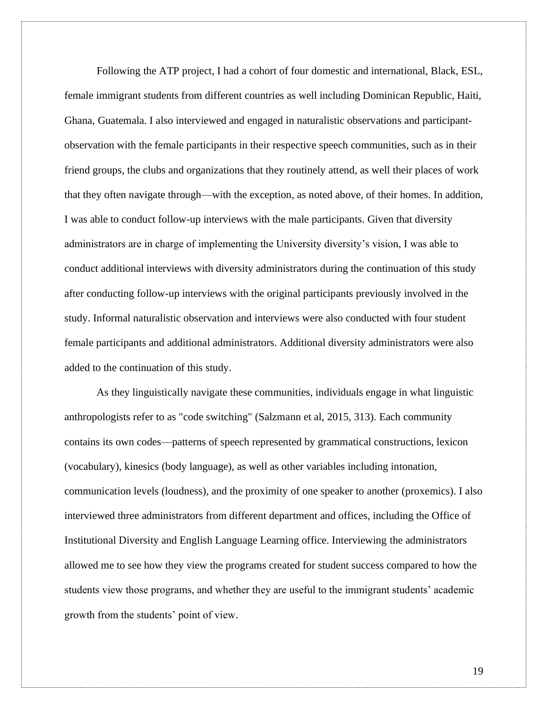Following the ATP project, I had a cohort of four domestic and international, Black, ESL, female immigrant students from different countries as well including Dominican Republic, Haiti, Ghana, Guatemala. I also interviewed and engaged in naturalistic observations and participantobservation with the female participants in their respective speech communities, such as in their friend groups, the clubs and organizations that they routinely attend, as well their places of work that they often navigate through—with the exception, as noted above, of their homes. In addition, I was able to conduct follow-up interviews with the male participants. Given that diversity administrators are in charge of implementing the University diversity's vision, I was able to conduct additional interviews with diversity administrators during the continuation of this study after conducting follow-up interviews with the original participants previously involved in the study. Informal naturalistic observation and interviews were also conducted with four student female participants and additional administrators. Additional diversity administrators were also added to the continuation of this study.

As they linguistically navigate these communities, individuals engage in what linguistic anthropologists refer to as "code switching" (Salzmann et al, 2015, 313). Each community contains its own codes—patterns of speech represented by grammatical constructions, lexicon (vocabulary), kinesics (body language), as well as other variables including intonation, communication levels (loudness), and the proximity of one speaker to another (proxemics). I also interviewed three administrators from different department and offices, including the Office of Institutional Diversity and English Language Learning office. Interviewing the administrators allowed me to see how they view the programs created for student success compared to how the students view those programs, and whether they are useful to the immigrant students' academic growth from the students' point of view.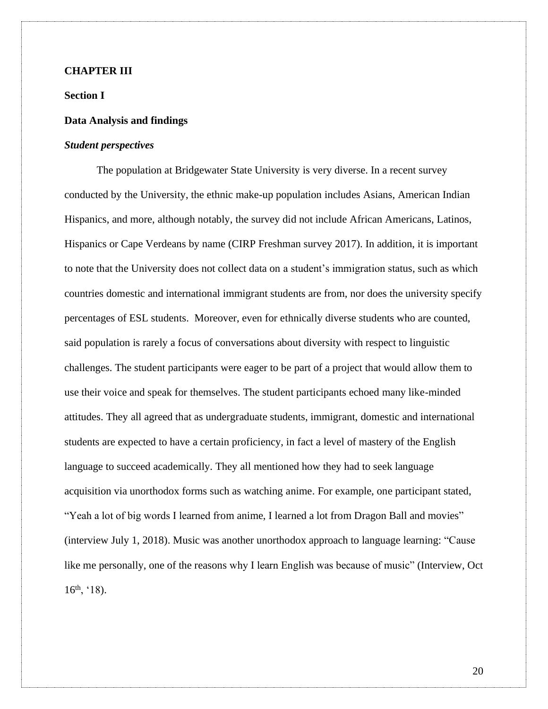## **CHAPTER III**

#### **Section I**

#### **Data Analysis and findings**

## *Student perspectives*

The population at Bridgewater State University is very diverse. In a recent survey conducted by the University, the ethnic make-up population includes Asians, American Indian Hispanics, and more, although notably, the survey did not include African Americans, Latinos, Hispanics or Cape Verdeans by name (CIRP Freshman survey 2017). In addition, it is important to note that the University does not collect data on a student's immigration status, such as which countries domestic and international immigrant students are from, nor does the university specify percentages of ESL students. Moreover, even for ethnically diverse students who are counted, said population is rarely a focus of conversations about diversity with respect to linguistic challenges. The student participants were eager to be part of a project that would allow them to use their voice and speak for themselves. The student participants echoed many like-minded attitudes. They all agreed that as undergraduate students, immigrant, domestic and international students are expected to have a certain proficiency, in fact a level of mastery of the English language to succeed academically. They all mentioned how they had to seek language acquisition via unorthodox forms such as watching anime. For example, one participant stated, "Yeah a lot of big words I learned from anime, I learned a lot from Dragon Ball and movies" (interview July 1, 2018). Music was another unorthodox approach to language learning: "Cause like me personally, one of the reasons why I learn English was because of music" (Interview, Oct  $16^{th}$ , '18).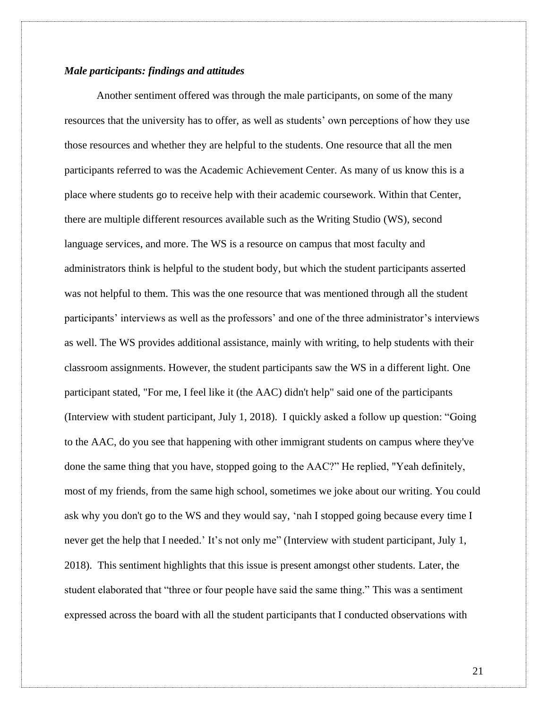## *Male participants: findings and attitudes*

Another sentiment offered was through the male participants, on some of the many resources that the university has to offer, as well as students' own perceptions of how they use those resources and whether they are helpful to the students. One resource that all the men participants referred to was the Academic Achievement Center. As many of us know this is a place where students go to receive help with their academic coursework. Within that Center, there are multiple different resources available such as the Writing Studio (WS), second language services, and more. The WS is a resource on campus that most faculty and administrators think is helpful to the student body, but which the student participants asserted was not helpful to them. This was the one resource that was mentioned through all the student participants' interviews as well as the professors' and one of the three administrator's interviews as well. The WS provides additional assistance, mainly with writing, to help students with their classroom assignments. However, the student participants saw the WS in a different light. One participant stated, "For me, I feel like it (the AAC) didn't help" said one of the participants (Interview with student participant, July 1, 2018). I quickly asked a follow up question: "Going to the AAC, do you see that happening with other immigrant students on campus where they've done the same thing that you have, stopped going to the AAC?" He replied, "Yeah definitely, most of my friends, from the same high school, sometimes we joke about our writing. You could ask why you don't go to the WS and they would say, 'nah I stopped going because every time I never get the help that I needed.' It's not only me" (Interview with student participant, July 1, 2018). This sentiment highlights that this issue is present amongst other students. Later, the student elaborated that "three or four people have said the same thing." This was a sentiment expressed across the board with all the student participants that I conducted observations with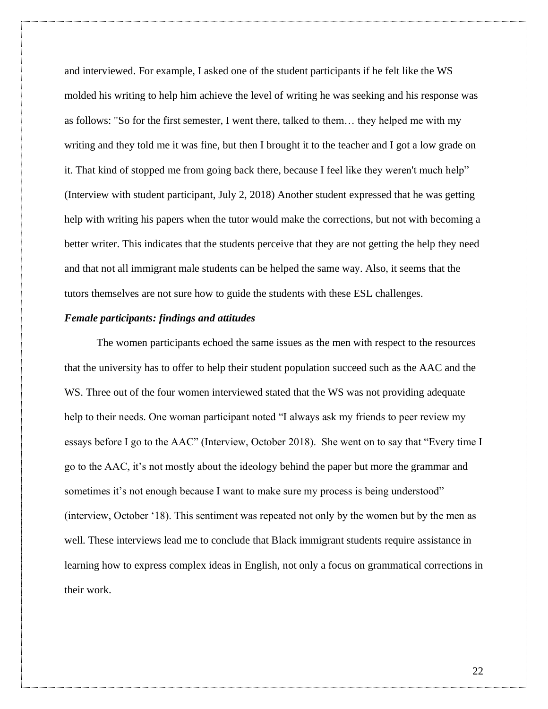and interviewed. For example, I asked one of the student participants if he felt like the WS molded his writing to help him achieve the level of writing he was seeking and his response was as follows: "So for the first semester, I went there, talked to them… they helped me with my writing and they told me it was fine, but then I brought it to the teacher and I got a low grade on it. That kind of stopped me from going back there, because I feel like they weren't much help" (Interview with student participant, July 2, 2018) Another student expressed that he was getting help with writing his papers when the tutor would make the corrections, but not with becoming a better writer. This indicates that the students perceive that they are not getting the help they need and that not all immigrant male students can be helped the same way. Also, it seems that the tutors themselves are not sure how to guide the students with these ESL challenges.

## *Female participants: findings and attitudes*

The women participants echoed the same issues as the men with respect to the resources that the university has to offer to help their student population succeed such as the AAC and the WS. Three out of the four women interviewed stated that the WS was not providing adequate help to their needs. One woman participant noted "I always ask my friends to peer review my essays before I go to the AAC" (Interview, October 2018). She went on to say that "Every time I go to the AAC, it's not mostly about the ideology behind the paper but more the grammar and sometimes it's not enough because I want to make sure my process is being understood" (interview, October '18). This sentiment was repeated not only by the women but by the men as well. These interviews lead me to conclude that Black immigrant students require assistance in learning how to express complex ideas in English, not only a focus on grammatical corrections in their work.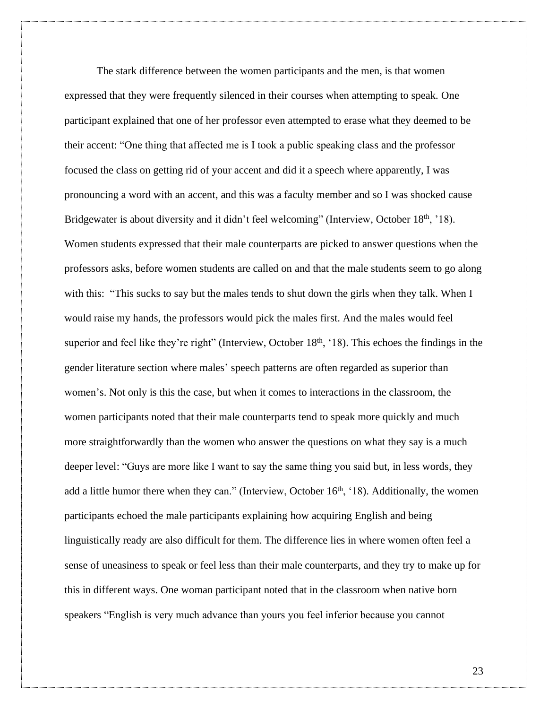The stark difference between the women participants and the men, is that women expressed that they were frequently silenced in their courses when attempting to speak. One participant explained that one of her professor even attempted to erase what they deemed to be their accent: "One thing that affected me is I took a public speaking class and the professor focused the class on getting rid of your accent and did it a speech where apparently, I was pronouncing a word with an accent, and this was a faculty member and so I was shocked cause Bridgewater is about diversity and it didn't feel welcoming" (Interview, October 18<sup>th</sup>, '18). Women students expressed that their male counterparts are picked to answer questions when the professors asks, before women students are called on and that the male students seem to go along with this: "This sucks to say but the males tends to shut down the girls when they talk. When I would raise my hands, the professors would pick the males first. And the males would feel superior and feel like they're right" (Interview, October 18<sup>th</sup>, '18). This echoes the findings in the gender literature section where males' speech patterns are often regarded as superior than women's. Not only is this the case, but when it comes to interactions in the classroom, the women participants noted that their male counterparts tend to speak more quickly and much more straightforwardly than the women who answer the questions on what they say is a much deeper level: "Guys are more like I want to say the same thing you said but, in less words, they add a little humor there when they can." (Interview, October  $16<sup>th</sup>$ , '18). Additionally, the women participants echoed the male participants explaining how acquiring English and being linguistically ready are also difficult for them. The difference lies in where women often feel a sense of uneasiness to speak or feel less than their male counterparts, and they try to make up for this in different ways. One woman participant noted that in the classroom when native born speakers "English is very much advance than yours you feel inferior because you cannot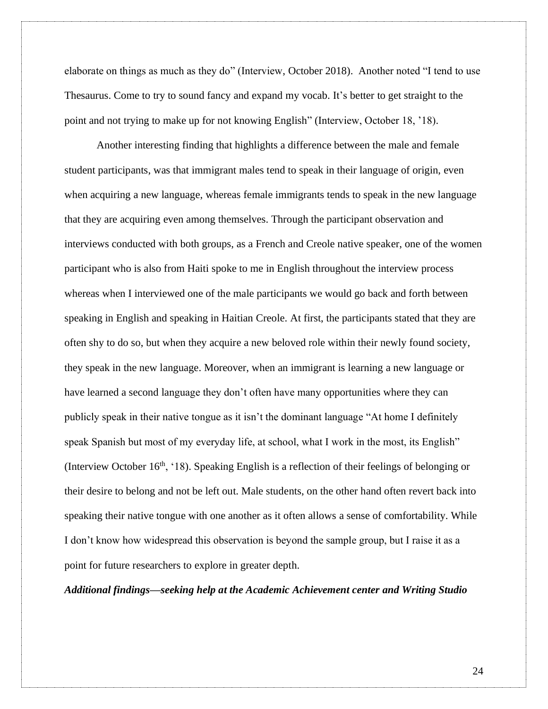elaborate on things as much as they do" (Interview, October 2018). Another noted "I tend to use Thesaurus. Come to try to sound fancy and expand my vocab. It's better to get straight to the point and not trying to make up for not knowing English" (Interview, October 18, '18).

Another interesting finding that highlights a difference between the male and female student participants, was that immigrant males tend to speak in their language of origin, even when acquiring a new language, whereas female immigrants tends to speak in the new language that they are acquiring even among themselves. Through the participant observation and interviews conducted with both groups, as a French and Creole native speaker, one of the women participant who is also from Haiti spoke to me in English throughout the interview process whereas when I interviewed one of the male participants we would go back and forth between speaking in English and speaking in Haitian Creole. At first, the participants stated that they are often shy to do so, but when they acquire a new beloved role within their newly found society, they speak in the new language. Moreover, when an immigrant is learning a new language or have learned a second language they don't often have many opportunities where they can publicly speak in their native tongue as it isn't the dominant language "At home I definitely speak Spanish but most of my everyday life, at school, what I work in the most, its English" (Interview October  $16<sup>th</sup>$ , '18). Speaking English is a reflection of their feelings of belonging or their desire to belong and not be left out. Male students, on the other hand often revert back into speaking their native tongue with one another as it often allows a sense of comfortability. While I don't know how widespread this observation is beyond the sample group, but I raise it as a point for future researchers to explore in greater depth.

*Additional findings—seeking help at the Academic Achievement center and Writing Studio*

24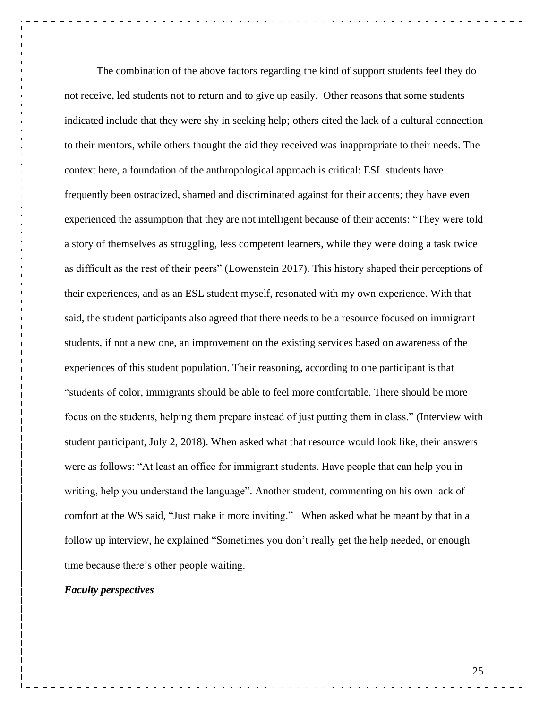The combination of the above factors regarding the kind of support students feel they do not receive, led students not to return and to give up easily. Other reasons that some students indicated include that they were shy in seeking help; others cited the lack of a cultural connection to their mentors, while others thought the aid they received was inappropriate to their needs. The context here, a foundation of the anthropological approach is critical: ESL students have frequently been ostracized, shamed and discriminated against for their accents; they have even experienced the assumption that they are not intelligent because of their accents: "They were told a story of themselves as struggling, less competent learners, while they were doing a task twice as difficult as the rest of their peers" (Lowenstein 2017). This history shaped their perceptions of their experiences, and as an ESL student myself, resonated with my own experience. With that said, the student participants also agreed that there needs to be a resource focused on immigrant students, if not a new one, an improvement on the existing services based on awareness of the experiences of this student population. Their reasoning, according to one participant is that "students of color, immigrants should be able to feel more comfortable. There should be more focus on the students, helping them prepare instead of just putting them in class." (Interview with student participant, July 2, 2018). When asked what that resource would look like, their answers were as follows: "At least an office for immigrant students. Have people that can help you in writing, help you understand the language". Another student, commenting on his own lack of comfort at the WS said, "Just make it more inviting." When asked what he meant by that in a follow up interview, he explained "Sometimes you don't really get the help needed, or enough time because there's other people waiting.

## *Faculty perspectives*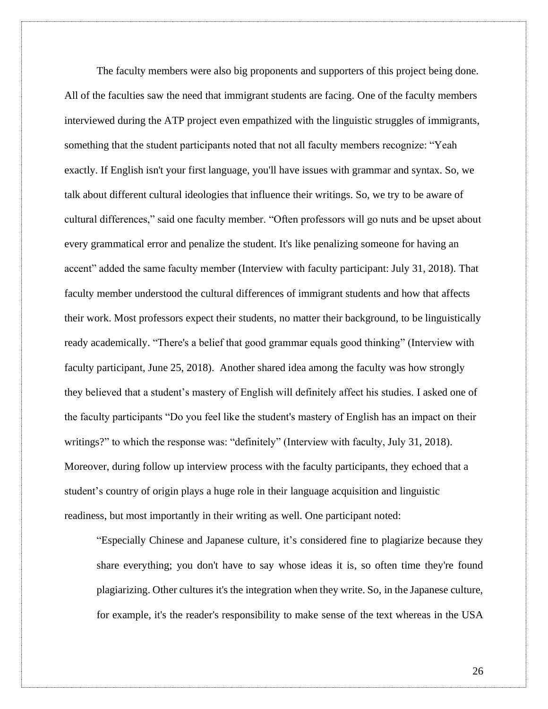The faculty members were also big proponents and supporters of this project being done. All of the faculties saw the need that immigrant students are facing. One of the faculty members interviewed during the ATP project even empathized with the linguistic struggles of immigrants, something that the student participants noted that not all faculty members recognize: "Yeah exactly. If English isn't your first language, you'll have issues with grammar and syntax. So, we talk about different cultural ideologies that influence their writings. So, we try to be aware of cultural differences," said one faculty member. "Often professors will go nuts and be upset about every grammatical error and penalize the student. It's like penalizing someone for having an accent" added the same faculty member (Interview with faculty participant: July 31, 2018). That faculty member understood the cultural differences of immigrant students and how that affects their work. Most professors expect their students, no matter their background, to be linguistically ready academically. "There's a belief that good grammar equals good thinking" (Interview with faculty participant, June 25, 2018). Another shared idea among the faculty was how strongly they believed that a student's mastery of English will definitely affect his studies. I asked one of the faculty participants "Do you feel like the student's mastery of English has an impact on their writings?" to which the response was: "definitely" (Interview with faculty, July 31, 2018). Moreover, during follow up interview process with the faculty participants, they echoed that a student's country of origin plays a huge role in their language acquisition and linguistic readiness, but most importantly in their writing as well. One participant noted:

"Especially Chinese and Japanese culture, it's considered fine to plagiarize because they share everything; you don't have to say whose ideas it is, so often time they're found plagiarizing. Other cultures it's the integration when they write. So, in the Japanese culture, for example, it's the reader's responsibility to make sense of the text whereas in the USA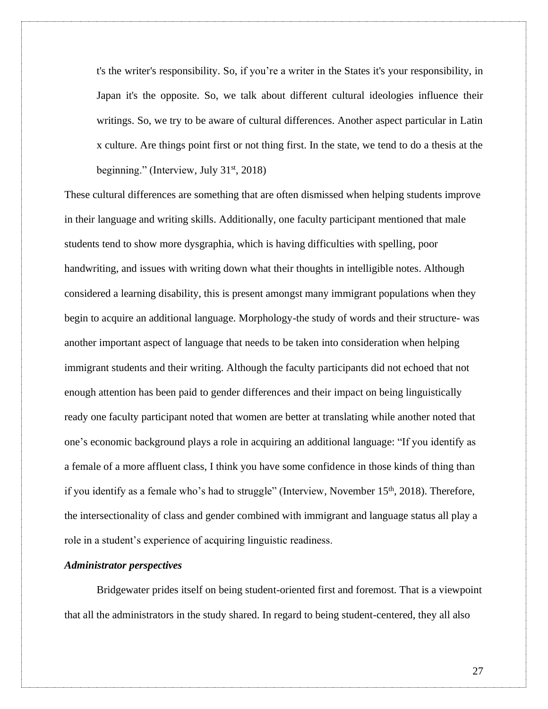t's the writer's responsibility. So, if you're a writer in the States it's your responsibility, in Japan it's the opposite. So, we talk about different cultural ideologies influence their writings. So, we try to be aware of cultural differences. Another aspect particular in Latin x culture. Are things point first or not thing first. In the state, we tend to do a thesis at the beginning." (Interview, July  $31<sup>st</sup>$ , 2018)

These cultural differences are something that are often dismissed when helping students improve in their language and writing skills. Additionally, one faculty participant mentioned that male students tend to show more dysgraphia, which is having difficulties with spelling, poor handwriting, and issues with writing down what their thoughts in intelligible notes. Although considered a learning disability, this is present amongst many immigrant populations when they begin to acquire an additional language. Morphology-the study of words and their structure- was another important aspect of language that needs to be taken into consideration when helping immigrant students and their writing. Although the faculty participants did not echoed that not enough attention has been paid to gender differences and their impact on being linguistically ready one faculty participant noted that women are better at translating while another noted that one's economic background plays a role in acquiring an additional language: "If you identify as a female of a more affluent class, I think you have some confidence in those kinds of thing than if you identify as a female who's had to struggle" (Interview, November  $15<sup>th</sup>$ , 2018). Therefore, the intersectionality of class and gender combined with immigrant and language status all play a role in a student's experience of acquiring linguistic readiness.

#### *Administrator perspectives*

Bridgewater prides itself on being student-oriented first and foremost. That is a viewpoint that all the administrators in the study shared. In regard to being student-centered, they all also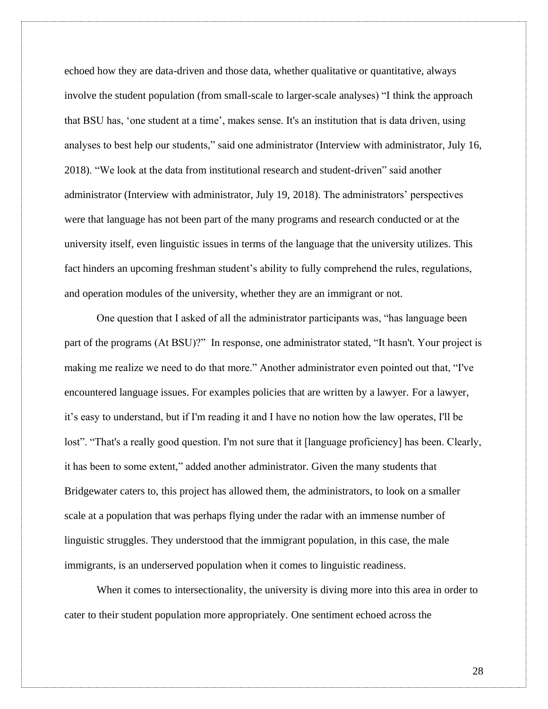echoed how they are data-driven and those data, whether qualitative or quantitative, always involve the student population (from small-scale to larger-scale analyses) "I think the approach that BSU has, 'one student at a time', makes sense. It's an institution that is data driven, using analyses to best help our students," said one administrator (Interview with administrator, July 16, 2018). "We look at the data from institutional research and student-driven" said another administrator (Interview with administrator, July 19, 2018). The administrators' perspectives were that language has not been part of the many programs and research conducted or at the university itself, even linguistic issues in terms of the language that the university utilizes. This fact hinders an upcoming freshman student's ability to fully comprehend the rules, regulations, and operation modules of the university, whether they are an immigrant or not.

One question that I asked of all the administrator participants was, "has language been part of the programs (At BSU)?" In response, one administrator stated, "It hasn't. Your project is making me realize we need to do that more." Another administrator even pointed out that, "I've encountered language issues. For examples policies that are written by a lawyer. For a lawyer, it's easy to understand, but if I'm reading it and I have no notion how the law operates, I'll be lost". "That's a really good question. I'm not sure that it [language proficiency] has been. Clearly, it has been to some extent," added another administrator. Given the many students that Bridgewater caters to, this project has allowed them, the administrators, to look on a smaller scale at a population that was perhaps flying under the radar with an immense number of linguistic struggles. They understood that the immigrant population, in this case, the male immigrants, is an underserved population when it comes to linguistic readiness.

When it comes to intersectionality, the university is diving more into this area in order to cater to their student population more appropriately. One sentiment echoed across the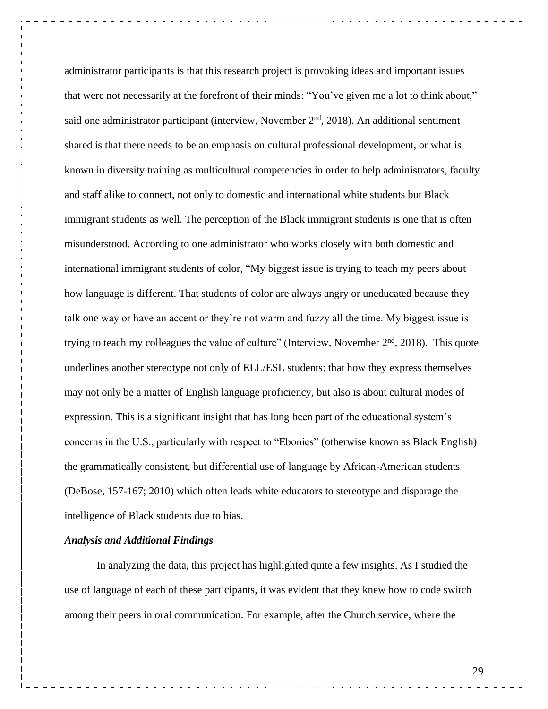administrator participants is that this research project is provoking ideas and important issues that were not necessarily at the forefront of their minds: "You've given me a lot to think about," said one administrator participant (interview, November 2<sup>nd</sup>, 2018). An additional sentiment shared is that there needs to be an emphasis on cultural professional development, or what is known in diversity training as multicultural competencies in order to help administrators, faculty and staff alike to connect, not only to domestic and international white students but Black immigrant students as well. The perception of the Black immigrant students is one that is often misunderstood. According to one administrator who works closely with both domestic and international immigrant students of color, "My biggest issue is trying to teach my peers about how language is different. That students of color are always angry or uneducated because they talk one way or have an accent or they're not warm and fuzzy all the time. My biggest issue is trying to teach my colleagues the value of culture" (Interview, November  $2<sup>nd</sup>$ , 2018). This quote underlines another stereotype not only of ELL/ESL students: that how they express themselves may not only be a matter of English language proficiency, but also is about cultural modes of expression. This is a significant insight that has long been part of the educational system's concerns in the U.S., particularly with respect to "Ebonics" (otherwise known as Black English) the grammatically consistent, but differential use of language by African-American students (DeBose, 157-167; 2010) which often leads white educators to stereotype and disparage the intelligence of Black students due to bias.

## *Analysis and Additional Findings*

In analyzing the data, this project has highlighted quite a few insights. As I studied the use of language of each of these participants, it was evident that they knew how to code switch among their peers in oral communication. For example, after the Church service, where the

29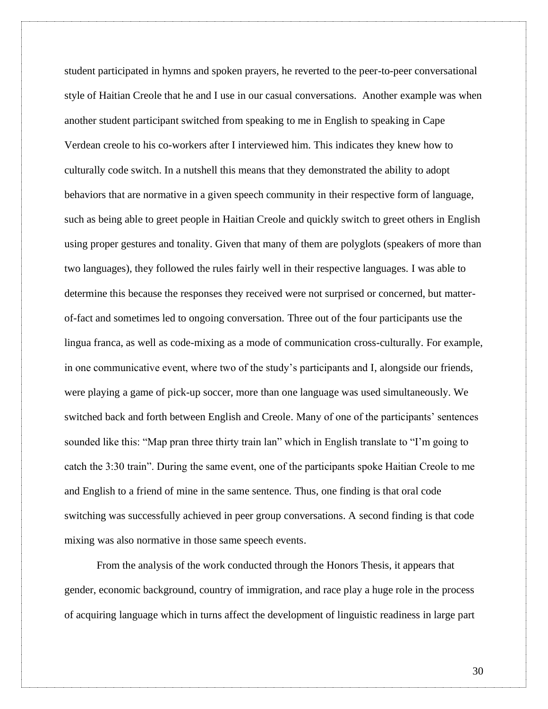student participated in hymns and spoken prayers, he reverted to the peer-to-peer conversational style of Haitian Creole that he and I use in our casual conversations. Another example was when another student participant switched from speaking to me in English to speaking in Cape Verdean creole to his co-workers after I interviewed him. This indicates they knew how to culturally code switch. In a nutshell this means that they demonstrated the ability to adopt behaviors that are normative in a given speech community in their respective form of language, such as being able to greet people in Haitian Creole and quickly switch to greet others in English using proper gestures and tonality. Given that many of them are polyglots (speakers of more than two languages), they followed the rules fairly well in their respective languages. I was able to determine this because the responses they received were not surprised or concerned, but matterof-fact and sometimes led to ongoing conversation. Three out of the four participants use the lingua franca, as well as code-mixing as a mode of communication cross-culturally. For example, in one communicative event, where two of the study's participants and I, alongside our friends, were playing a game of pick-up soccer, more than one language was used simultaneously. We switched back and forth between English and Creole. Many of one of the participants' sentences sounded like this: "Map pran three thirty train lan" which in English translate to "I'm going to catch the 3:30 train". During the same event, one of the participants spoke Haitian Creole to me and English to a friend of mine in the same sentence. Thus, one finding is that oral code switching was successfully achieved in peer group conversations. A second finding is that code mixing was also normative in those same speech events.

From the analysis of the work conducted through the Honors Thesis, it appears that gender, economic background, country of immigration, and race play a huge role in the process of acquiring language which in turns affect the development of linguistic readiness in large part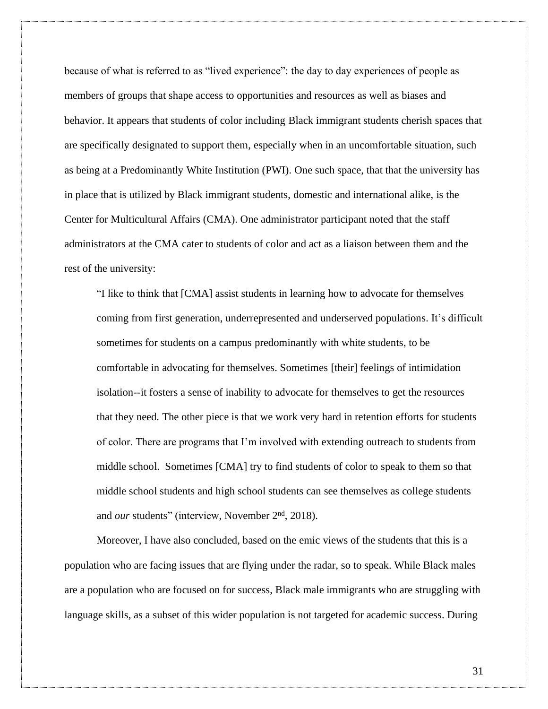because of what is referred to as "lived experience": the day to day experiences of people as members of groups that shape access to opportunities and resources as well as biases and behavior. It appears that students of color including Black immigrant students cherish spaces that are specifically designated to support them, especially when in an uncomfortable situation, such as being at a Predominantly White Institution (PWI). One such space, that that the university has in place that is utilized by Black immigrant students, domestic and international alike, is the Center for Multicultural Affairs (CMA). One administrator participant noted that the staff administrators at the CMA cater to students of color and act as a liaison between them and the rest of the university:

"I like to think that [CMA] assist students in learning how to advocate for themselves coming from first generation, underrepresented and underserved populations. It's difficult sometimes for students on a campus predominantly with white students, to be comfortable in advocating for themselves. Sometimes [their] feelings of intimidation isolation--it fosters a sense of inability to advocate for themselves to get the resources that they need. The other piece is that we work very hard in retention efforts for students of color. There are programs that I'm involved with extending outreach to students from middle school. Sometimes [CMA] try to find students of color to speak to them so that middle school students and high school students can see themselves as college students and *our* students" (interview, November 2<sup>nd</sup>, 2018).

Moreover, I have also concluded, based on the emic views of the students that this is a population who are facing issues that are flying under the radar, so to speak. While Black males are a population who are focused on for success, Black male immigrants who are struggling with language skills, as a subset of this wider population is not targeted for academic success. During

31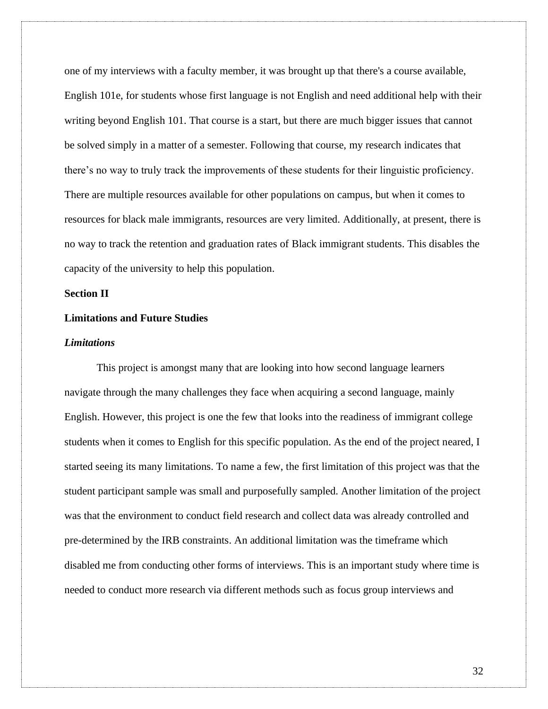one of my interviews with a faculty member, it was brought up that there's a course available, English 101e, for students whose first language is not English and need additional help with their writing beyond English 101. That course is a start, but there are much bigger issues that cannot be solved simply in a matter of a semester. Following that course, my research indicates that there's no way to truly track the improvements of these students for their linguistic proficiency. There are multiple resources available for other populations on campus, but when it comes to resources for black male immigrants, resources are very limited. Additionally, at present, there is no way to track the retention and graduation rates of Black immigrant students. This disables the capacity of the university to help this population.

#### **Section II**

## **Limitations and Future Studies**

#### *Limitations*

This project is amongst many that are looking into how second language learners navigate through the many challenges they face when acquiring a second language, mainly English. However, this project is one the few that looks into the readiness of immigrant college students when it comes to English for this specific population. As the end of the project neared, I started seeing its many limitations. To name a few, the first limitation of this project was that the student participant sample was small and purposefully sampled. Another limitation of the project was that the environment to conduct field research and collect data was already controlled and pre-determined by the IRB constraints. An additional limitation was the timeframe which disabled me from conducting other forms of interviews. This is an important study where time is needed to conduct more research via different methods such as focus group interviews and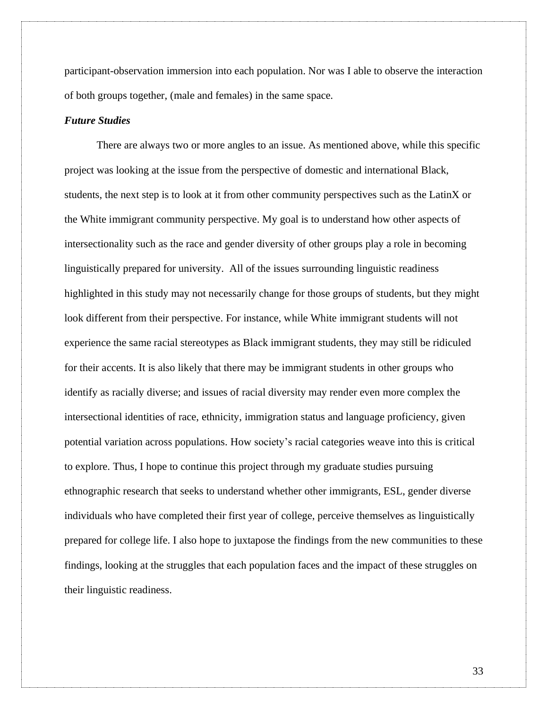participant-observation immersion into each population. Nor was I able to observe the interaction of both groups together, (male and females) in the same space.

## *Future Studies*

There are always two or more angles to an issue. As mentioned above, while this specific project was looking at the issue from the perspective of domestic and international Black, students, the next step is to look at it from other community perspectives such as the LatinX or the White immigrant community perspective. My goal is to understand how other aspects of intersectionality such as the race and gender diversity of other groups play a role in becoming linguistically prepared for university. All of the issues surrounding linguistic readiness highlighted in this study may not necessarily change for those groups of students, but they might look different from their perspective. For instance, while White immigrant students will not experience the same racial stereotypes as Black immigrant students, they may still be ridiculed for their accents. It is also likely that there may be immigrant students in other groups who identify as racially diverse; and issues of racial diversity may render even more complex the intersectional identities of race, ethnicity, immigration status and language proficiency, given potential variation across populations. How society's racial categories weave into this is critical to explore. Thus, I hope to continue this project through my graduate studies pursuing ethnographic research that seeks to understand whether other immigrants, ESL, gender diverse individuals who have completed their first year of college, perceive themselves as linguistically prepared for college life. I also hope to juxtapose the findings from the new communities to these findings, looking at the struggles that each population faces and the impact of these struggles on their linguistic readiness.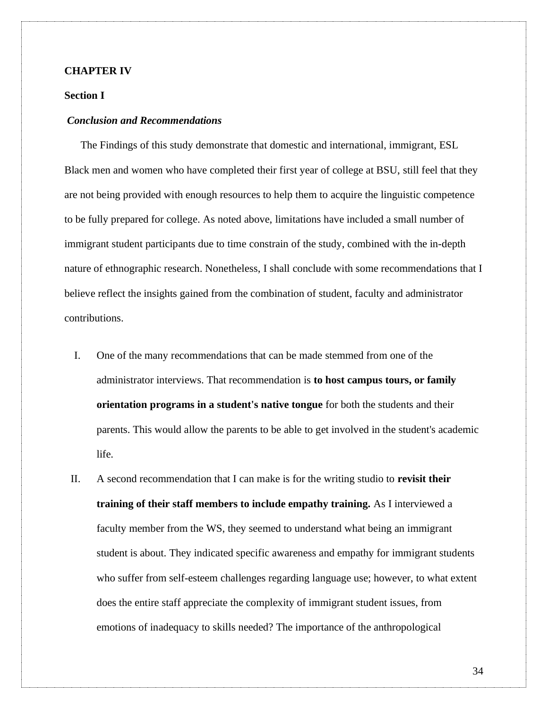## **CHAPTER IV**

## **Section I**

## *Conclusion and Recommendations*

The Findings of this study demonstrate that domestic and international, immigrant, ESL Black men and women who have completed their first year of college at BSU, still feel that they are not being provided with enough resources to help them to acquire the linguistic competence to be fully prepared for college. As noted above, limitations have included a small number of immigrant student participants due to time constrain of the study, combined with the in-depth nature of ethnographic research. Nonetheless, I shall conclude with some recommendations that I believe reflect the insights gained from the combination of student, faculty and administrator contributions.

- I. One of the many recommendations that can be made stemmed from one of the administrator interviews. That recommendation is **to host campus tours, or family orientation programs in a student's native tongue** for both the students and their parents. This would allow the parents to be able to get involved in the student's academic life.
- II. A second recommendation that I can make is for the writing studio to **revisit their training of their staff members to include empathy training.** As I interviewed a faculty member from the WS, they seemed to understand what being an immigrant student is about. They indicated specific awareness and empathy for immigrant students who suffer from self-esteem challenges regarding language use; however, to what extent does the entire staff appreciate the complexity of immigrant student issues, from emotions of inadequacy to skills needed? The importance of the anthropological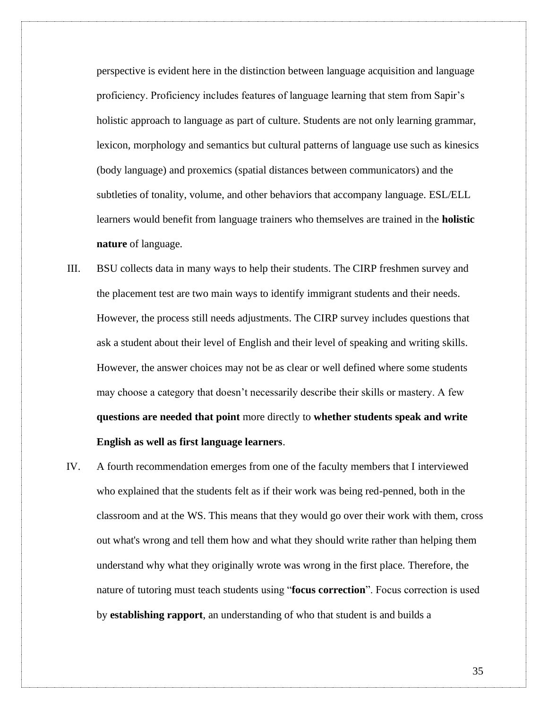perspective is evident here in the distinction between language acquisition and language proficiency. Proficiency includes features of language learning that stem from Sapir's holistic approach to language as part of culture. Students are not only learning grammar, lexicon, morphology and semantics but cultural patterns of language use such as kinesics (body language) and proxemics (spatial distances between communicators) and the subtleties of tonality, volume, and other behaviors that accompany language. ESL/ELL learners would benefit from language trainers who themselves are trained in the **holistic nature** of language.

- III. BSU collects data in many ways to help their students. The CIRP freshmen survey and the placement test are two main ways to identify immigrant students and their needs. However, the process still needs adjustments. The CIRP survey includes questions that ask a student about their level of English and their level of speaking and writing skills. However, the answer choices may not be as clear or well defined where some students may choose a category that doesn't necessarily describe their skills or mastery. A few **questions are needed that point** more directly to **whether students speak and write English as well as first language learners**.
- IV. A fourth recommendation emerges from one of the faculty members that I interviewed who explained that the students felt as if their work was being red-penned, both in the classroom and at the WS. This means that they would go over their work with them, cross out what's wrong and tell them how and what they should write rather than helping them understand why what they originally wrote was wrong in the first place. Therefore, the nature of tutoring must teach students using "**focus correction**". Focus correction is used by **establishing rapport**, an understanding of who that student is and builds a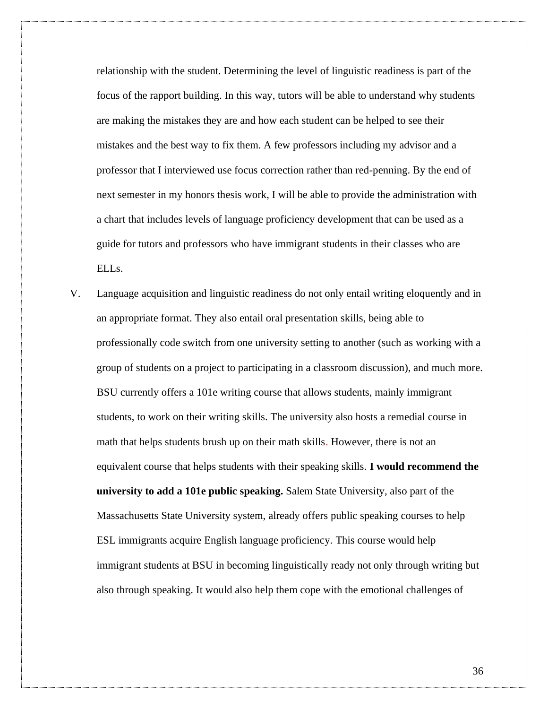relationship with the student. Determining the level of linguistic readiness is part of the focus of the rapport building. In this way, tutors will be able to understand why students are making the mistakes they are and how each student can be helped to see their mistakes and the best way to fix them. A few professors including my advisor and a professor that I interviewed use focus correction rather than red-penning. By the end of next semester in my honors thesis work, I will be able to provide the administration with a chart that includes levels of language proficiency development that can be used as a guide for tutors and professors who have immigrant students in their classes who are ELLs.

V. Language acquisition and linguistic readiness do not only entail writing eloquently and in an appropriate format. They also entail oral presentation skills, being able to professionally code switch from one university setting to another (such as working with a group of students on a project to participating in a classroom discussion), and much more. BSU currently offers a 101e writing course that allows students, mainly immigrant students, to work on their writing skills. The university also hosts a remedial course in math that helps students brush up on their math skills. However, there is not an equivalent course that helps students with their speaking skills. **I would recommend the university to add a 101e public speaking.** Salem State University, also part of the Massachusetts State University system, already offers public speaking courses to help ESL immigrants acquire English language proficiency. This course would help immigrant students at BSU in becoming linguistically ready not only through writing but also through speaking. It would also help them cope with the emotional challenges of

36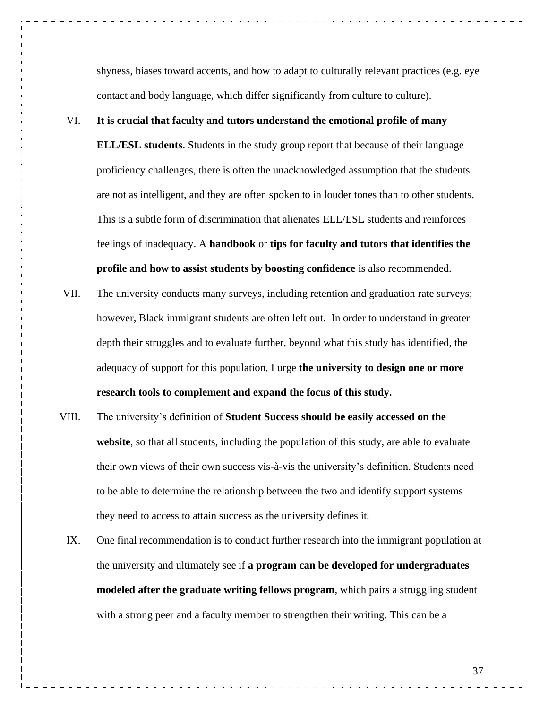shyness, biases toward accents, and how to adapt to culturally relevant practices (e.g. eye contact and body language, which differ significantly from culture to culture).

## VI. **It is crucial that faculty and tutors understand the emotional profile of many**

**ELL/ESL students**. Students in the study group report that because of their language proficiency challenges, there is often the unacknowledged assumption that the students are not as intelligent, and they are often spoken to in louder tones than to other students. This is a subtle form of discrimination that alienates ELL/ESL students and reinforces feelings of inadequacy. A **handbook** or **tips for faculty and tutors that identifies the profile and how to assist students by boosting confidence** is also recommended.

- VII. The university conducts many surveys, including retention and graduation rate surveys; however, Black immigrant students are often left out. In order to understand in greater depth their struggles and to evaluate further, beyond what this study has identified, the adequacy of support for this population, I urge **the university to design one or more research tools to complement and expand the focus of this study.**
- VIII. The university's definition of **Student Success should be easily accessed on the website**, so that all students, including the population of this study, are able to evaluate their own views of their own success vis-à-vis the university's definition. Students need to be able to determine the relationship between the two and identify support systems they need to access to attain success as the university defines it.
- IX. One final recommendation is to conduct further research into the immigrant population at the university and ultimately see if **a program can be developed for undergraduates modeled after the graduate writing fellows program**, which pairs a struggling student with a strong peer and a faculty member to strengthen their writing. This can be a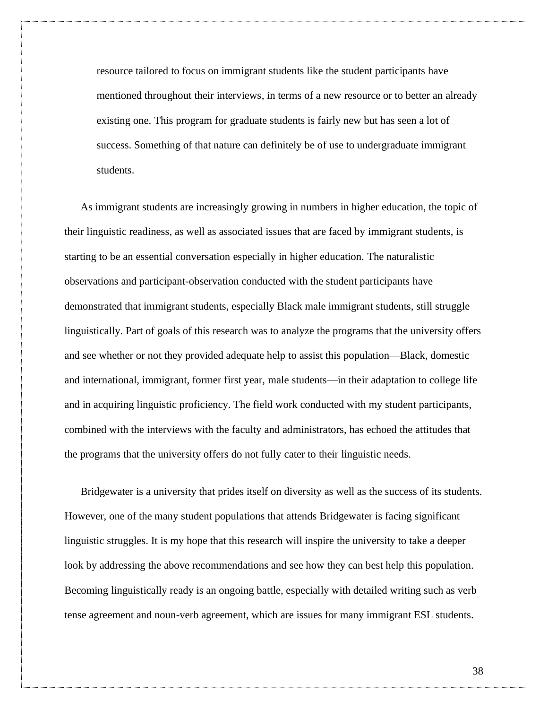resource tailored to focus on immigrant students like the student participants have mentioned throughout their interviews, in terms of a new resource or to better an already existing one. This program for graduate students is fairly new but has seen a lot of success. Something of that nature can definitely be of use to undergraduate immigrant students.

As immigrant students are increasingly growing in numbers in higher education, the topic of their linguistic readiness, as well as associated issues that are faced by immigrant students, is starting to be an essential conversation especially in higher education. The naturalistic observations and participant-observation conducted with the student participants have demonstrated that immigrant students, especially Black male immigrant students, still struggle linguistically. Part of goals of this research was to analyze the programs that the university offers and see whether or not they provided adequate help to assist this population—Black, domestic and international, immigrant, former first year, male students—in their adaptation to college life and in acquiring linguistic proficiency. The field work conducted with my student participants, combined with the interviews with the faculty and administrators, has echoed the attitudes that the programs that the university offers do not fully cater to their linguistic needs.

Bridgewater is a university that prides itself on diversity as well as the success of its students. However, one of the many student populations that attends Bridgewater is facing significant linguistic struggles. It is my hope that this research will inspire the university to take a deeper look by addressing the above recommendations and see how they can best help this population. Becoming linguistically ready is an ongoing battle, especially with detailed writing such as verb tense agreement and noun-verb agreement, which are issues for many immigrant ESL students.

38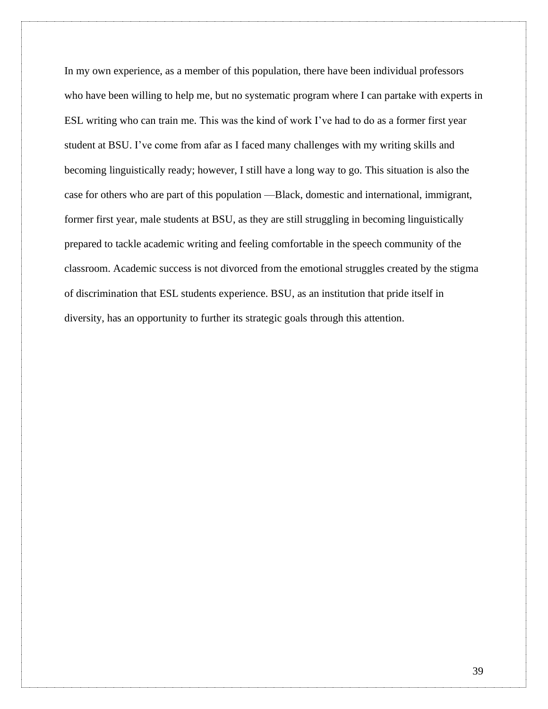In my own experience, as a member of this population, there have been individual professors who have been willing to help me, but no systematic program where I can partake with experts in ESL writing who can train me. This was the kind of work I've had to do as a former first year student at BSU. I've come from afar as I faced many challenges with my writing skills and becoming linguistically ready; however, I still have a long way to go. This situation is also the case for others who are part of this population —Black, domestic and international, immigrant, former first year, male students at BSU, as they are still struggling in becoming linguistically prepared to tackle academic writing and feeling comfortable in the speech community of the classroom. Academic success is not divorced from the emotional struggles created by the stigma of discrimination that ESL students experience. BSU, as an institution that pride itself in diversity, has an opportunity to further its strategic goals through this attention.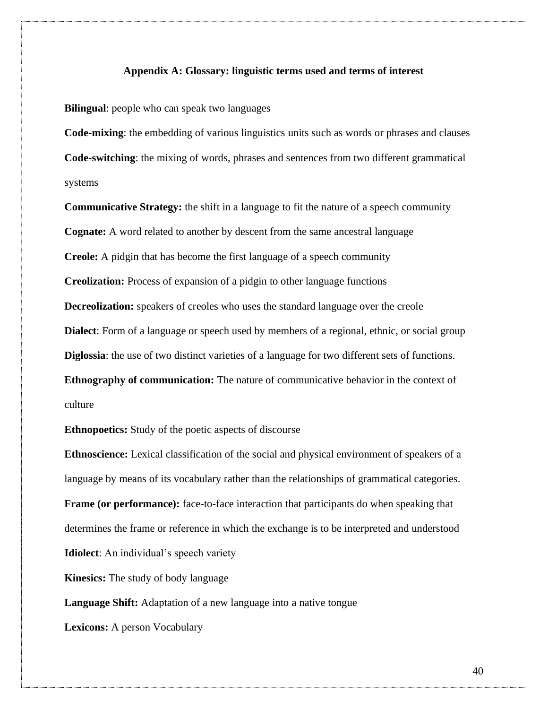## **Appendix A: Glossary: linguistic terms used and terms of interest**

**Bilingual**: people who can speak two languages

**Code-mixing**: the embedding of various linguistics units such as words or phrases and clauses **Code-switching**: the mixing of words, phrases and sentences from two different grammatical systems

**Communicative Strategy:** the shift in a language to fit the nature of a speech community **Cognate:** A word related to another by descent from the same ancestral language **Creole:** A pidgin that has become the first language of a speech community **Creolization:** Process of expansion of a pidgin to other language functions **Decreolization:** speakers of creoles who uses the standard language over the creole **Dialect**: Form of a language or speech used by members of a regional, ethnic, or social group **Diglossia**: the use of two distinct varieties of a language for two different sets of functions. **Ethnography of communication:** The nature of communicative behavior in the context of culture

**Ethnopoetics:** Study of the poetic aspects of discourse

**Ethnoscience:** Lexical classification of the social and physical environment of speakers of a language by means of its vocabulary rather than the relationships of grammatical categories. **Frame (or performance):** face-to-face interaction that participants do when speaking that determines the frame or reference in which the exchange is to be interpreted and understood **Idiolect**: An individual's speech variety

**Kinesics:** The study of body language

**Language Shift:** Adaptation of a new language into a native tongue

**Lexicons:** A person Vocabulary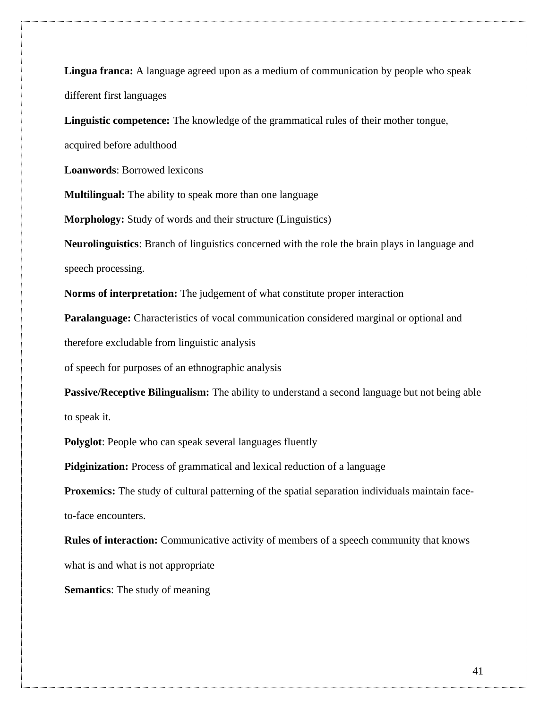**Lingua franca:** A language agreed upon as a medium of communication by people who speak different first languages

**Linguistic competence:** The knowledge of the grammatical rules of their mother tongue,

acquired before adulthood

**Loanwords**: Borrowed lexicons

**Multilingual:** The ability to speak more than one language

**Morphology:** Study of words and their structure (Linguistics)

**Neurolinguistics**: Branch of linguistics concerned with the role the brain plays in language and speech processing.

**Norms of interpretation:** The judgement of what constitute proper interaction

**Paralanguage:** Characteristics of vocal communication considered marginal or optional and

therefore excludable from linguistic analysis

of speech for purposes of an ethnographic analysis

**Passive/Receptive Bilingualism:** The ability to understand a second language but not being able to speak it.

**Polyglot**: People who can speak several languages fluently

**Pidginization:** Process of grammatical and lexical reduction of a language

**Proxemics:** The study of cultural patterning of the spatial separation individuals maintain faceto-face encounters.

**Rules of interaction:** Communicative activity of members of a speech community that knows what is and what is not appropriate

**Semantics**: The study of meaning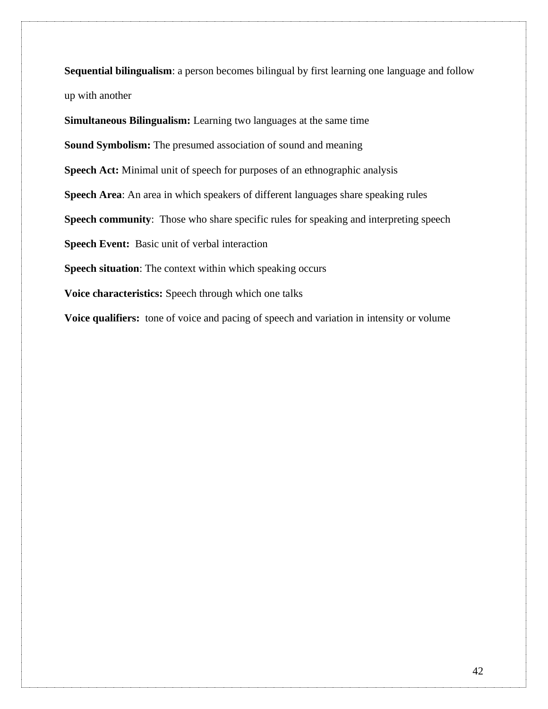**Sequential bilingualism**: a person becomes bilingual by first learning one language and follow up with another

**Simultaneous Bilingualism:** Learning two languages at the same time

**Sound Symbolism:** The presumed association of sound and meaning

**Speech Act:** Minimal unit of speech for purposes of an ethnographic analysis

**Speech Area**: An area in which speakers of different languages share speaking rules

**Speech community**: Those who share specific rules for speaking and interpreting speech

**Speech Event:** Basic unit of verbal interaction

**Speech situation**: The context within which speaking occurs

**Voice characteristics:** Speech through which one talks

**Voice qualifiers:** tone of voice and pacing of speech and variation in intensity or volume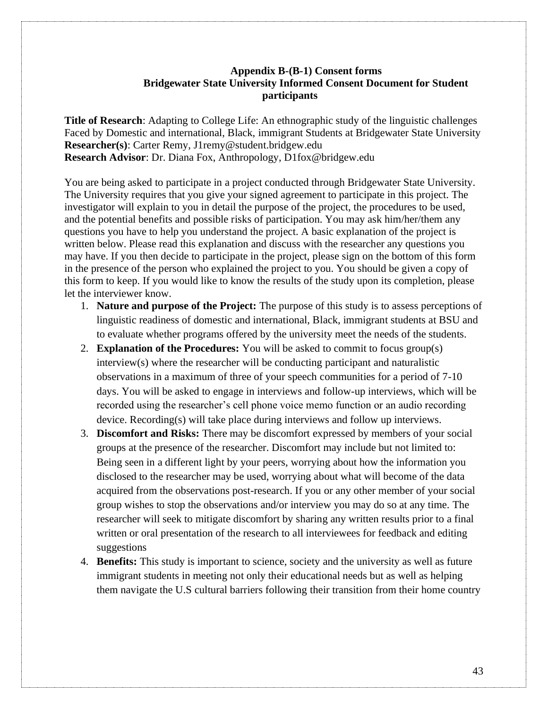## **Appendix B-(B-1) Consent forms Bridgewater State University Informed Consent Document for Student participants**

**Title of Research**: Adapting to College Life: An ethnographic study of the linguistic challenges Faced by Domestic and international, Black, immigrant Students at Bridgewater State University **Researcher(s)**: Carter Remy, J1remy@student.bridgew.edu **Research Advisor**: Dr. Diana Fox, Anthropology, D1fox@bridgew.edu

You are being asked to participate in a project conducted through Bridgewater State University. The University requires that you give your signed agreement to participate in this project. The investigator will explain to you in detail the purpose of the project, the procedures to be used, and the potential benefits and possible risks of participation. You may ask him/her/them any questions you have to help you understand the project. A basic explanation of the project is written below. Please read this explanation and discuss with the researcher any questions you may have. If you then decide to participate in the project, please sign on the bottom of this form in the presence of the person who explained the project to you. You should be given a copy of this form to keep. If you would like to know the results of the study upon its completion, please let the interviewer know.

- 1. **Nature and purpose of the Project:** The purpose of this study is to assess perceptions of linguistic readiness of domestic and international, Black, immigrant students at BSU and to evaluate whether programs offered by the university meet the needs of the students.
- 2. **Explanation of the Procedures:** You will be asked to commit to focus group(s) interview(s) where the researcher will be conducting participant and naturalistic observations in a maximum of three of your speech communities for a period of 7-10 days. You will be asked to engage in interviews and follow-up interviews, which will be recorded using the researcher's cell phone voice memo function or an audio recording device. Recording(s) will take place during interviews and follow up interviews.
- 3. **Discomfort and Risks:** There may be discomfort expressed by members of your social groups at the presence of the researcher. Discomfort may include but not limited to: Being seen in a different light by your peers, worrying about how the information you disclosed to the researcher may be used, worrying about what will become of the data acquired from the observations post-research. If you or any other member of your social group wishes to stop the observations and/or interview you may do so at any time. The researcher will seek to mitigate discomfort by sharing any written results prior to a final written or oral presentation of the research to all interviewees for feedback and editing suggestions
- 4. **Benefits:** This study is important to science, society and the university as well as future immigrant students in meeting not only their educational needs but as well as helping them navigate the U.S cultural barriers following their transition from their home country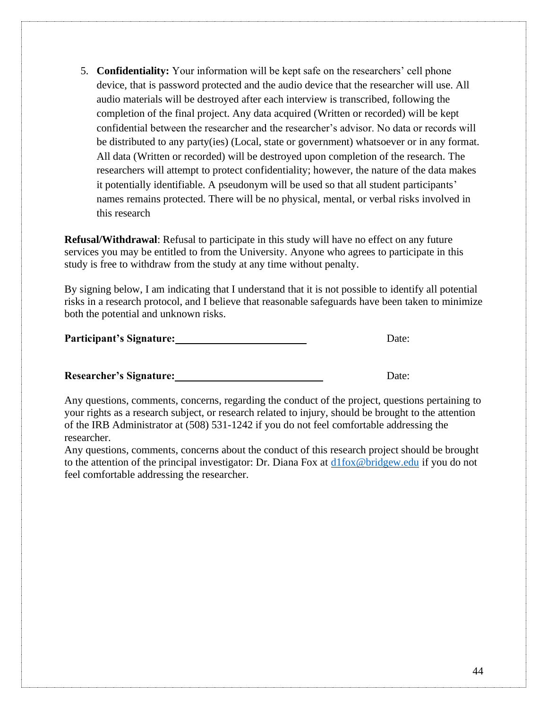44

audio materials will be destroyed after each interview is transcribed, following the completion of the final project. Any data acquired (Written or recorded) will be kept confidential between the researcher and the researcher's advisor. No data or records will be distributed to any party(ies) (Local, state or government) whatsoever or in any format. All data (Written or recorded) will be destroyed upon completion of the research. The researchers will attempt to protect confidentiality; however, the nature of the data makes it potentially identifiable. A pseudonym will be used so that all student participants' names remains protected. There will be no physical, mental, or verbal risks involved in this research

**Refusal/Withdrawal**: Refusal to participate in this study will have no effect on any future services you may be entitled to from the University. Anyone who agrees to participate in this study is free to withdraw from the study at any time without penalty.

5. **Confidentiality:** Your information will be kept safe on the researchers' cell phone

device, that is password protected and the audio device that the researcher will use. All

By signing below, I am indicating that I understand that it is not possible to identify all potential risks in a research protocol, and I believe that reasonable safeguards have been taken to minimize both the potential and unknown risks.

| Participant's Signature: | Date: |
|--------------------------|-------|
|                          |       |

**Researcher's Signature:** Date:

Any questions, comments, concerns, regarding the conduct of the project, questions pertaining to your rights as a research subject, or research related to injury, should be brought to the attention of the IRB Administrator at (508) 531-1242 if you do not feel comfortable addressing the researcher.

Any questions, comments, concerns about the conduct of this research project should be brought to the attention of the principal investigator: Dr. Diana Fox at  $\frac{d1f(x \otimes \text{bridgew.edu}}{d1f(y \otimes \text{bridgew.edu})}$  if you do not feel comfortable addressing the researcher.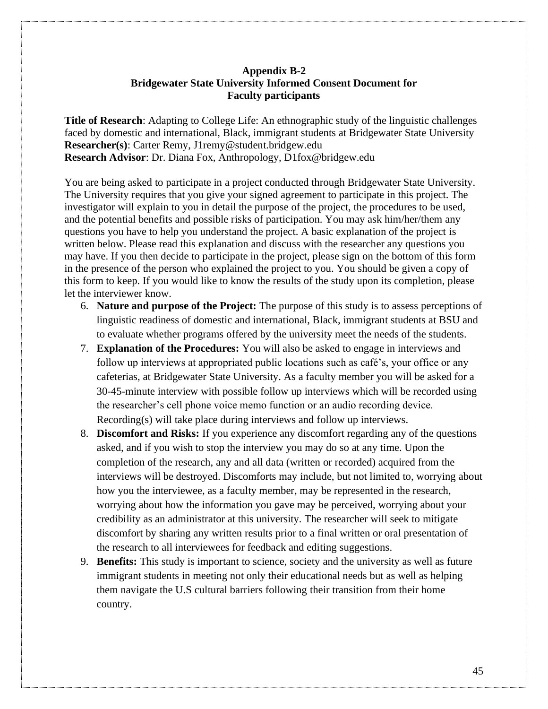## **Appendix B-2 Bridgewater State University Informed Consent Document for Faculty participants**

**Title of Research**: Adapting to College Life: An ethnographic study of the linguistic challenges faced by domestic and international, Black, immigrant students at Bridgewater State University **Researcher(s)**: Carter Remy, J1remy@student.bridgew.edu **Research Advisor**: Dr. Diana Fox, Anthropology, D1fox@bridgew.edu

You are being asked to participate in a project conducted through Bridgewater State University. The University requires that you give your signed agreement to participate in this project. The investigator will explain to you in detail the purpose of the project, the procedures to be used, and the potential benefits and possible risks of participation. You may ask him/her/them any questions you have to help you understand the project. A basic explanation of the project is written below. Please read this explanation and discuss with the researcher any questions you may have. If you then decide to participate in the project, please sign on the bottom of this form in the presence of the person who explained the project to you. You should be given a copy of this form to keep. If you would like to know the results of the study upon its completion, please let the interviewer know.

- 6. **Nature and purpose of the Project:** The purpose of this study is to assess perceptions of linguistic readiness of domestic and international, Black, immigrant students at BSU and to evaluate whether programs offered by the university meet the needs of the students.
- 7. **Explanation of the Procedures:** You will also be asked to engage in interviews and follow up interviews at appropriated public locations such as café's, your office or any cafeterias, at Bridgewater State University. As a faculty member you will be asked for a 30-45-minute interview with possible follow up interviews which will be recorded using the researcher's cell phone voice memo function or an audio recording device. Recording(s) will take place during interviews and follow up interviews.
- 8. **Discomfort and Risks:** If you experience any discomfort regarding any of the questions asked, and if you wish to stop the interview you may do so at any time. Upon the completion of the research, any and all data (written or recorded) acquired from the interviews will be destroyed. Discomforts may include, but not limited to, worrying about how you the interviewee, as a faculty member, may be represented in the research, worrying about how the information you gave may be perceived, worrying about your credibility as an administrator at this university. The researcher will seek to mitigate discomfort by sharing any written results prior to a final written or oral presentation of the research to all interviewees for feedback and editing suggestions.
- 9. **Benefits:** This study is important to science, society and the university as well as future immigrant students in meeting not only their educational needs but as well as helping them navigate the U.S cultural barriers following their transition from their home country.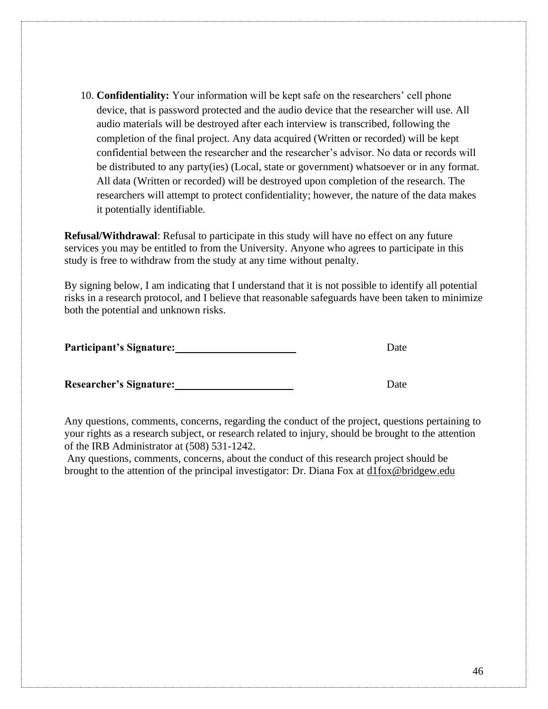10. **Confidentiality:** Your information will be kept safe on the researchers' cell phone device, that is password protected and the audio device that the researcher will use. All audio materials will be destroyed after each interview is transcribed, following the completion of the final project. Any data acquired (Written or recorded) will be kept confidential between the researcher and the researcher's advisor. No data or records will be distributed to any party(ies) (Local, state or government) whatsoever or in any format. All data (Written or recorded) will be destroyed upon completion of the research. The researchers will attempt to protect confidentiality; however, the nature of the data makes it potentially identifiable.

**Refusal/Withdrawal**: Refusal to participate in this study will have no effect on any future services you may be entitled to from the University. Anyone who agrees to participate in this study is free to withdraw from the study at any time without penalty.

By signing below, I am indicating that I understand that it is not possible to identify all potential risks in a research protocol, and I believe that reasonable safeguards have been taken to minimize both the potential and unknown risks.

| <b>Participant's Signature:</b> | Date |
|---------------------------------|------|
|                                 |      |

**Researcher's Signature:** Date

Any questions, comments, concerns, regarding the conduct of the project, questions pertaining to your rights as a research subject, or research related to injury, should be brought to the attention of the IRB Administrator at (508) 531-1242.

Any questions, comments, concerns, about the conduct of this research project should be brought to the attention of the principal investigator: Dr. Diana Fox at  $\frac{d1f(x \otimes \text{bridge}w.edu)}{dt}$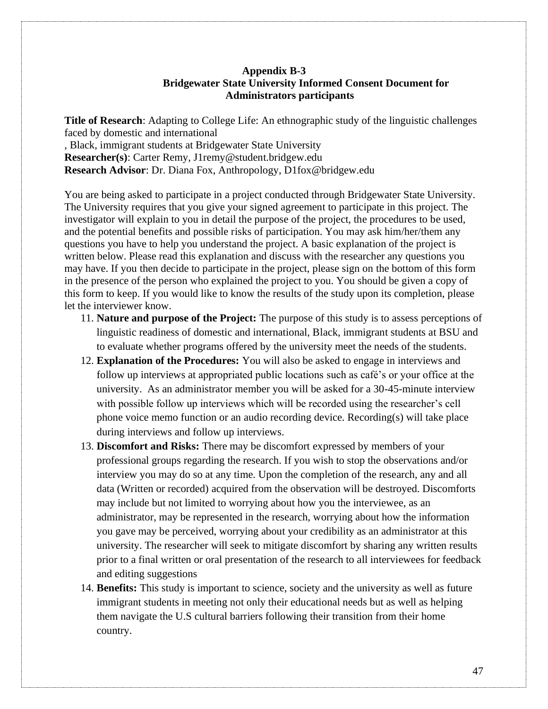## **Appendix B-3 Bridgewater State University Informed Consent Document for Administrators participants**

**Title of Research**: Adapting to College Life: An ethnographic study of the linguistic challenges faced by domestic and international , Black, immigrant students at Bridgewater State University

**Researcher(s)**: Carter Remy, J1remy@student.bridgew.edu **Research Advisor**: Dr. Diana Fox, Anthropology, D1fox@bridgew.edu

You are being asked to participate in a project conducted through Bridgewater State University. The University requires that you give your signed agreement to participate in this project. The investigator will explain to you in detail the purpose of the project, the procedures to be used, and the potential benefits and possible risks of participation. You may ask him/her/them any questions you have to help you understand the project. A basic explanation of the project is written below. Please read this explanation and discuss with the researcher any questions you may have. If you then decide to participate in the project, please sign on the bottom of this form in the presence of the person who explained the project to you. You should be given a copy of this form to keep. If you would like to know the results of the study upon its completion, please let the interviewer know.

- 11. **Nature and purpose of the Project:** The purpose of this study is to assess perceptions of linguistic readiness of domestic and international, Black, immigrant students at BSU and to evaluate whether programs offered by the university meet the needs of the students.
- 12. **Explanation of the Procedures:** You will also be asked to engage in interviews and follow up interviews at appropriated public locations such as café's or your office at the university. As an administrator member you will be asked for a 30-45-minute interview with possible follow up interviews which will be recorded using the researcher's cell phone voice memo function or an audio recording device. Recording(s) will take place during interviews and follow up interviews.
- 13. **Discomfort and Risks:** There may be discomfort expressed by members of your professional groups regarding the research. If you wish to stop the observations and/or interview you may do so at any time. Upon the completion of the research, any and all data (Written or recorded) acquired from the observation will be destroyed. Discomforts may include but not limited to worrying about how you the interviewee, as an administrator, may be represented in the research, worrying about how the information you gave may be perceived, worrying about your credibility as an administrator at this university. The researcher will seek to mitigate discomfort by sharing any written results prior to a final written or oral presentation of the research to all interviewees for feedback and editing suggestions
- 14. **Benefits:** This study is important to science, society and the university as well as future immigrant students in meeting not only their educational needs but as well as helping them navigate the U.S cultural barriers following their transition from their home country.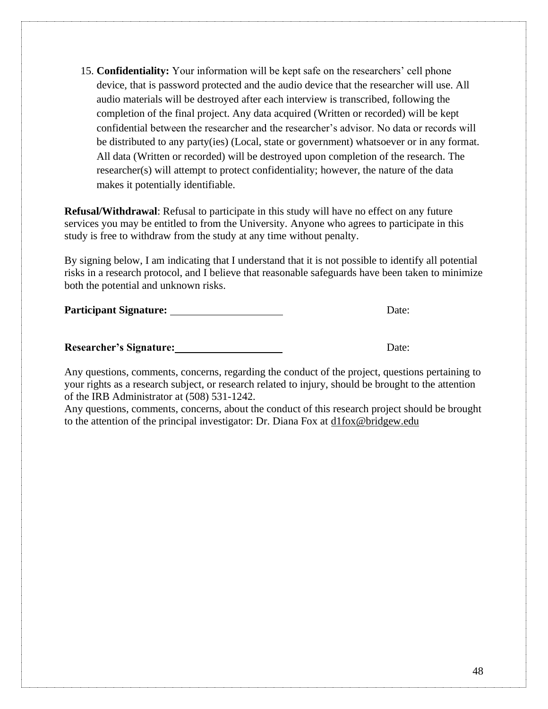15. **Confidentiality:** Your information will be kept safe on the researchers' cell phone device, that is password protected and the audio device that the researcher will use. All audio materials will be destroyed after each interview is transcribed, following the completion of the final project. Any data acquired (Written or recorded) will be kept confidential between the researcher and the researcher's advisor. No data or records will be distributed to any party(ies) (Local, state or government) whatsoever or in any format. All data (Written or recorded) will be destroyed upon completion of the research. The researcher(s) will attempt to protect confidentiality; however, the nature of the data makes it potentially identifiable.

**Refusal/Withdrawal**: Refusal to participate in this study will have no effect on any future services you may be entitled to from the University. Anyone who agrees to participate in this study is free to withdraw from the study at any time without penalty.

By signing below, I am indicating that I understand that it is not possible to identify all potential risks in a research protocol, and I believe that reasonable safeguards have been taken to minimize both the potential and unknown risks.

Participant Signature: Date:

**Researcher's Signature:** Date:

Any questions, comments, concerns, regarding the conduct of the project, questions pertaining to your rights as a research subject, or research related to injury, should be brought to the attention of the IRB Administrator at (508) 531-1242.

Any questions, comments, concerns, about the conduct of this research project should be brought to the attention of the principal investigator: Dr. Diana Fox at [d1fox@bridgew.edu](mailto:d1fox@bridgew.edu)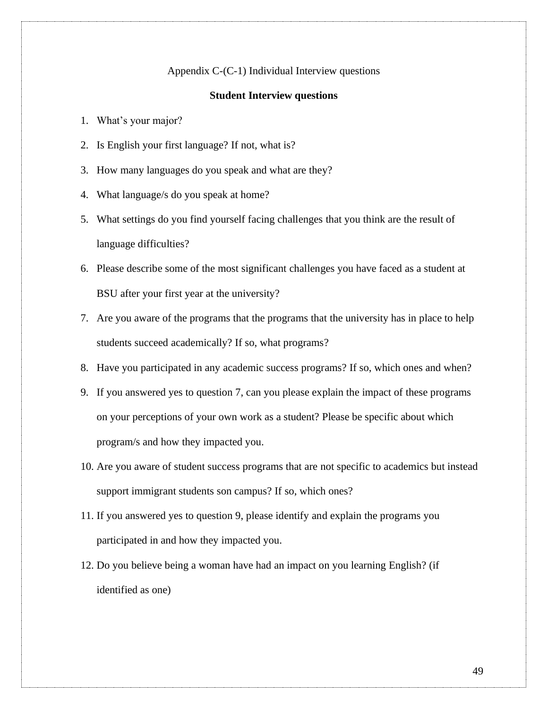## Appendix C-(C-1) Individual Interview questions

#### **Student Interview questions**

- 1. What's your major?
- 2. Is English your first language? If not, what is?
- 3. How many languages do you speak and what are they?
- 4. What language/s do you speak at home?
- 5. What settings do you find yourself facing challenges that you think are the result of language difficulties?
- 6. Please describe some of the most significant challenges you have faced as a student at BSU after your first year at the university?
- 7. Are you aware of the programs that the programs that the university has in place to help students succeed academically? If so, what programs?
- 8. Have you participated in any academic success programs? If so, which ones and when?
- 9. If you answered yes to question 7, can you please explain the impact of these programs on your perceptions of your own work as a student? Please be specific about which program/s and how they impacted you.
- 10. Are you aware of student success programs that are not specific to academics but instead support immigrant students son campus? If so, which ones?
- 11. If you answered yes to question 9, please identify and explain the programs you participated in and how they impacted you.
- 12. Do you believe being a woman have had an impact on you learning English? (if identified as one)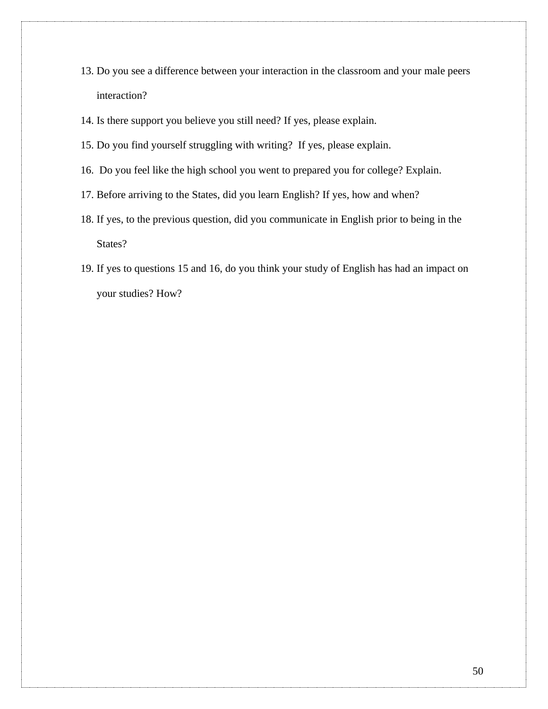- 13. Do you see a difference between your interaction in the classroom and your male peers interaction?
- 14. Is there support you believe you still need? If yes, please explain.
- 15. Do you find yourself struggling with writing? If yes, please explain.
- 16. Do you feel like the high school you went to prepared you for college? Explain.
- 17. Before arriving to the States, did you learn English? If yes, how and when?
- 18. If yes, to the previous question, did you communicate in English prior to being in the States?
- 19. If yes to questions 15 and 16, do you think your study of English has had an impact on your studies? How?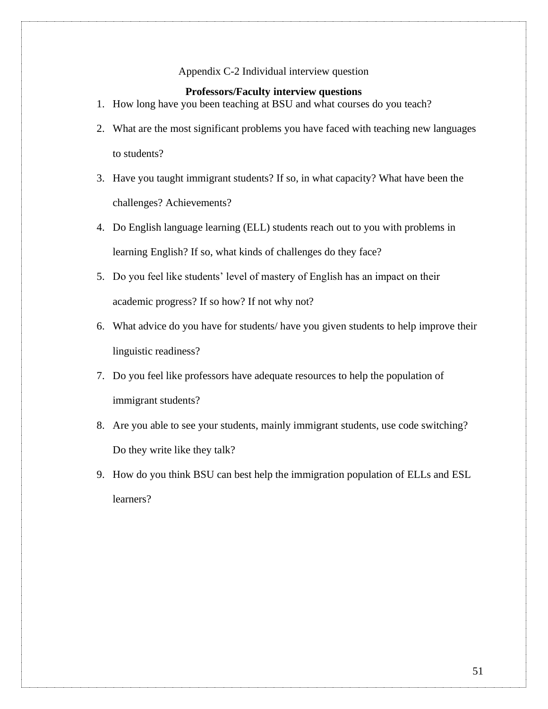Appendix C-2 Individual interview question

#### **Professors/Faculty interview questions**

- 1. How long have you been teaching at BSU and what courses do you teach?
- 2. What are the most significant problems you have faced with teaching new languages to students?
- 3. Have you taught immigrant students? If so, in what capacity? What have been the challenges? Achievements?
- 4. Do English language learning (ELL) students reach out to you with problems in learning English? If so, what kinds of challenges do they face?
- 5. Do you feel like students' level of mastery of English has an impact on their academic progress? If so how? If not why not?
- 6. What advice do you have for students/ have you given students to help improve their linguistic readiness?
- 7. Do you feel like professors have adequate resources to help the population of immigrant students?
- 8. Are you able to see your students, mainly immigrant students, use code switching? Do they write like they talk?
- 9. How do you think BSU can best help the immigration population of ELLs and ESL learners?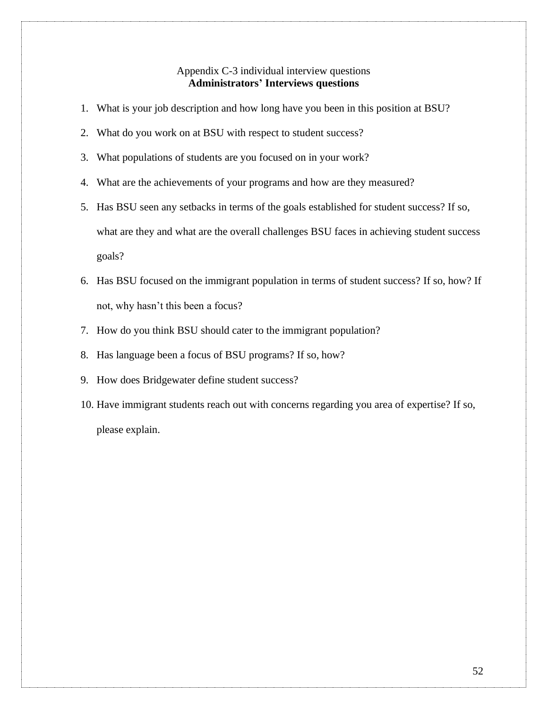## Appendix C-3 individual interview questions **Administrators' Interviews questions**

- 1. What is your job description and how long have you been in this position at BSU?
- 2. What do you work on at BSU with respect to student success?
- 3. What populations of students are you focused on in your work?
- 4. What are the achievements of your programs and how are they measured?
- 5. Has BSU seen any setbacks in terms of the goals established for student success? If so, what are they and what are the overall challenges BSU faces in achieving student success goals?
- 6. Has BSU focused on the immigrant population in terms of student success? If so, how? If not, why hasn't this been a focus?
- 7. How do you think BSU should cater to the immigrant population?
- 8. Has language been a focus of BSU programs? If so, how?
- 9. How does Bridgewater define student success?
- 10. Have immigrant students reach out with concerns regarding you area of expertise? If so, please explain.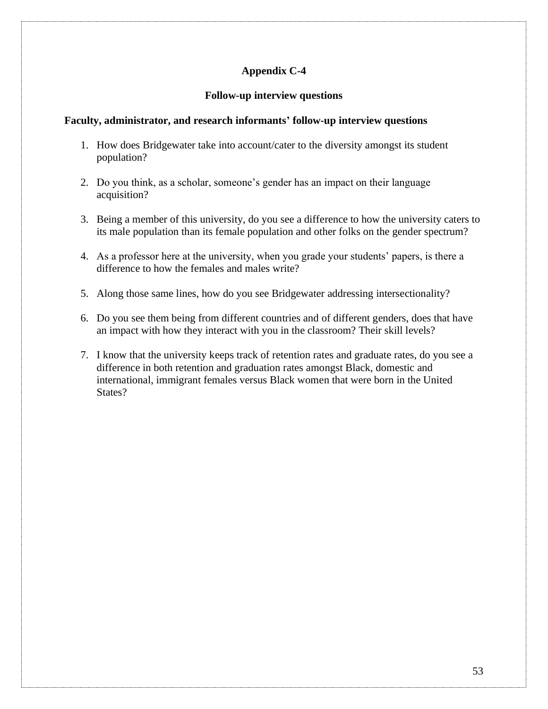## **Appendix C-4**

## **Follow-up interview questions**

## **Faculty, administrator, and research informants' follow-up interview questions**

- 1. How does Bridgewater take into account/cater to the diversity amongst its student population?
- 2. Do you think, as a scholar, someone's gender has an impact on their language acquisition?
- 3. Being a member of this university, do you see a difference to how the university caters to its male population than its female population and other folks on the gender spectrum?
- 4. As a professor here at the university, when you grade your students' papers, is there a difference to how the females and males write?
- 5. Along those same lines, how do you see Bridgewater addressing intersectionality?
- 6. Do you see them being from different countries and of different genders, does that have an impact with how they interact with you in the classroom? Their skill levels?
- 7. I know that the university keeps track of retention rates and graduate rates, do you see a difference in both retention and graduation rates amongst Black, domestic and international, immigrant females versus Black women that were born in the United States?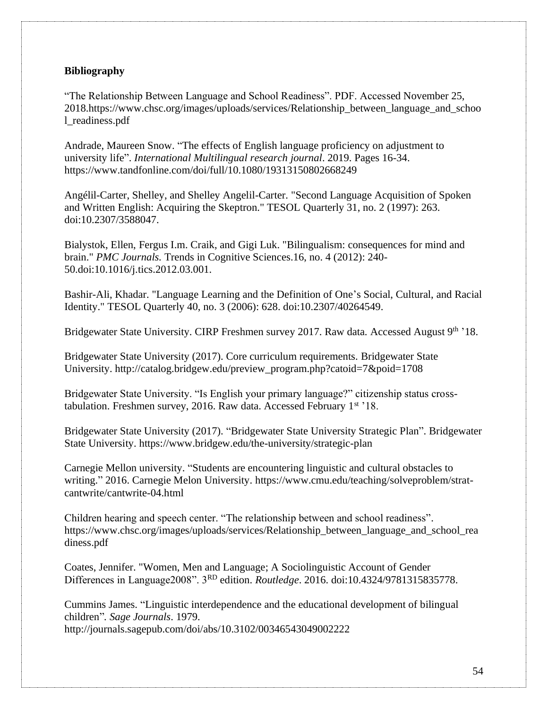## **Bibliography**

"The Relationship Between Language and School Readiness". PDF. Accessed November 25, 2018.https://www.chsc.org/images/uploads/services/Relationship\_between\_language\_and\_schoo l\_readiness.pdf

Andrade, Maureen Snow. "The effects of English language proficiency on adjustment to university life". *International Multilingual research journal*. 2019. Pages 16-34. https://www.tandfonline.com/doi/full/10.1080/19313150802668249

Angélil-Carter, Shelley, and Shelley Angelil-Carter. "Second Language Acquisition of Spoken and Written English: Acquiring the Skeptron." TESOL Quarterly 31, no. 2 (1997): 263. doi:10.2307/3588047.

Bialystok, Ellen, Fergus I.m. Craik, and Gigi Luk. "Bilingualism: consequences for mind and brain." *PMC Journals.* Trends in Cognitive Sciences.16, no. 4 (2012): 240- 50.doi:10.1016/j.tics.2012.03.001.

Bashir-Ali, Khadar. "Language Learning and the Definition of One's Social, Cultural, and Racial Identity." TESOL Quarterly 40, no. 3 (2006): 628. doi:10.2307/40264549.

Bridgewater State University. CIRP Freshmen survey 2017. Raw data. Accessed August 9th '18.

Bridgewater State University (2017). Core curriculum requirements. Bridgewater State University. http://catalog.bridgew.edu/preview\_program.php?catoid=7&poid=1708

Bridgewater State University. "Is English your primary language?" citizenship status crosstabulation. Freshmen survey, 2016. Raw data. Accessed February 1st '18.

Bridgewater State University (2017). "Bridgewater State University Strategic Plan". Bridgewater State University. https://www.bridgew.edu/the-university/strategic-plan

Carnegie Mellon university. "Students are encountering linguistic and cultural obstacles to writing." 2016. Carnegie Melon University. https://www.cmu.edu/teaching/solveproblem/stratcantwrite/cantwrite-04.html

Children hearing and speech center. "The relationship between and school readiness". https://www.chsc.org/images/uploads/services/Relationship\_between\_language\_and\_school\_rea diness.pdf

Coates, Jennifer. "Women, Men and Language; A Sociolinguistic Account of Gender Differences in Language2008". 3RD edition. *Routledge*. 2016. doi:10.4324/9781315835778.

Cummins James. "Linguistic interdependence and the educational development of bilingual children"*. Sage Journals*. 1979. http://journals.sagepub.com/doi/abs/10.3102/00346543049002222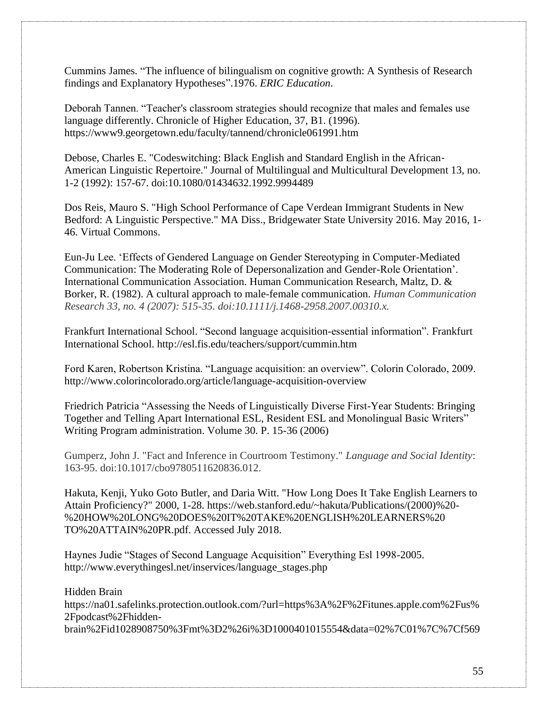Cummins James. "The influence of bilingualism on cognitive growth: A Synthesis of Research findings and Explanatory Hypotheses".1976. *ERIC Education*.

Deborah Tannen. "Teacher's classroom strategies should recognize that males and females use language differently. Chronicle of Higher Education, 37, B1. (1996). https://www9.georgetown.edu/faculty/tannend/chronicle061991.htm

Debose, Charles E. "Codeswitching: Black English and Standard English in the African‐ American Linguistic Repertoire." Journal of Multilingual and Multicultural Development 13, no. 1-2 (1992): 157-67. doi:10.1080/01434632.1992.9994489

Dos Reis, Mauro S. "High School Performance of Cape Verdean Immigrant Students in New Bedford: A Linguistic Perspective." MA Diss., Bridgewater State University 2016. May 2016, 1- 46. Virtual Commons.

Eun-Ju Lee. 'Effects of Gendered Language on Gender Stereotyping in Computer-Mediated Communication: The Moderating Role of Depersonalization and Gender-Role Orientation'. International Communication Association. Human Communication Research, Maltz, D. & Borker, R. (1982). A cultural approach to male-female communication. *Human Communication Research 33, no. 4 (2007): 515-35. doi:10.1111/j.1468-2958.2007.00310.x.*

Frankfurt International School. "Second language acquisition-essential information". Frankfurt International School. http://esl.fis.edu/teachers/support/cummin.htm

Ford Karen, Robertson Kristina. "Language acquisition: an overview". Colorin Colorado, 2009. <http://www.colorincolorado.org/article/language-acquisition-overview>

Friedrich Patricia "Assessing the Needs of Linguistically Diverse First-Year Students: Bringing Together and Telling Apart International ESL, Resident ESL and Monolingual Basic Writers" Writing Program administration. Volume 30. P. 15-36 (2006)

Gumperz, John J. "Fact and Inference in Courtroom Testimony." *Language and Social Identity*: 163-95. doi:10.1017/cbo9780511620836.012.

Hakuta, Kenji, Yuko Goto Butler, and Daria Witt. "How Long Does It Take English Learners to Attain Proficiency?" 2000, 1-28. https://web.stanford.edu/~hakuta/Publications/(2000)%20- %20HOW%20LONG%20DOES%20IT%20TAKE%20ENGLISH%20LEARNERS%20 TO%20ATTAIN%20PR.pdf. Accessed July 2018.

Haynes Judie "Stages of Second Language Acquisition" Everything Esl 1998-2005. http://www.everythingesl.net/inservices/language\_stages.php

Hidden Brain https://na01.safelinks.protection.outlook.com/?url=https%3A%2F%2Fitunes.apple.com%2Fus% 2Fpodcast%2Fhiddenbrain%2Fid1028908750%3Fmt%3D2%26i%3D1000401015554&data=02%7C01%7C%7Cf569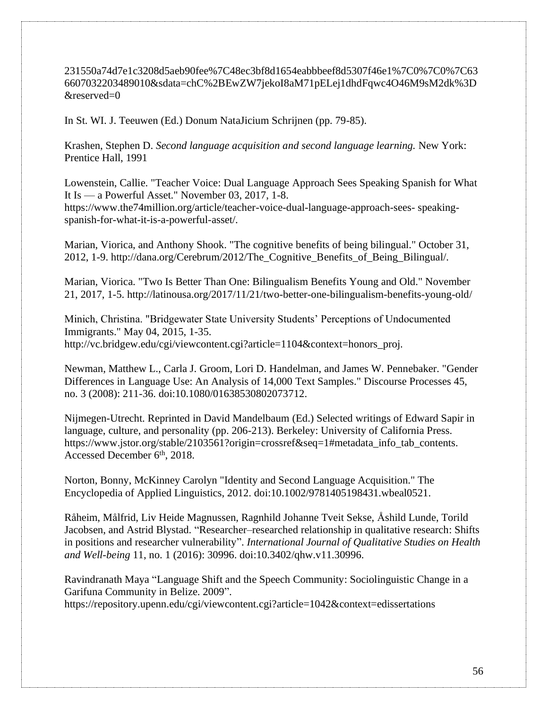231550a74d7e1c3208d5aeb90fee%7C48ec3bf8d1654eabbbeef8d5307f46e1%7C0%7C0%7C63 6607032203489010&sdata=chC%2BEwZW7jekoI8aM71pELej1dhdFqwc4O46M9sM2dk%3D &reserved=0

In St. WI. J. Teeuwen (Ed.) Donum NataJicium Schrijnen (pp. 79-85).

Krashen, Stephen D. *Second language acquisition and second language learning.* New York: Prentice Hall, 1991

Lowenstein, Callie. "Teacher Voice: Dual Language Approach Sees Speaking Spanish for What It Is — a Powerful Asset." November 03, 2017, 1-8. https://www.the74million.org/article/teacher-voice-dual-language-approach-sees- speakingspanish-for-what-it-is-a-powerful-asset/.

Marian, Viorica, and Anthony Shook. "The cognitive benefits of being bilingual." October 31, 2012, 1-9. http://dana.org/Cerebrum/2012/The\_Cognitive\_Benefits\_of\_Being\_Bilingual/.

Marian, Viorica. "Two Is Better Than One: Bilingualism Benefits Young and Old." November 21, 2017, 1-5. http://latinousa.org/2017/11/21/two-better-one-bilingualism-benefits-young-old/

Minich, Christina. "Bridgewater State University Students' Perceptions of Undocumented Immigrants." May 04, 2015, 1-35. http://vc.bridgew.edu/cgi/viewcontent.cgi?article=1104&context=honors\_proj.

Newman, Matthew L., Carla J. Groom, Lori D. Handelman, and James W. Pennebaker. "Gender Differences in Language Use: An Analysis of 14,000 Text Samples." Discourse Processes 45, no. 3 (2008): 211-36. doi:10.1080/01638530802073712.

Nijmegen-Utrecht. Reprinted in David Mandelbaum (Ed.) Selected writings of Edward Sapir in language, culture, and personality (pp. 206-213). Berkeley: University of California Press. https://www.jstor.org/stable/2103561?origin=crossref&seq=1#metadata\_info\_tab\_contents. Accessed December 6<sup>th</sup>, 2018.

Norton, Bonny, McKinney Carolyn "Identity and Second Language Acquisition." The Encyclopedia of Applied Linguistics, 2012. doi:10.1002/9781405198431.wbeal0521.

Råheim, Målfrid, Liv Heide Magnussen, Ragnhild Johanne Tveit Sekse, Åshild Lunde, Torild Jacobsen, and Astrid Blystad. "Researcher–researched relationship in qualitative research: Shifts in positions and researcher vulnerability". *International Journal of Qualitative Studies on Health and Well-being* 11, no. 1 (2016): 30996. doi:10.3402/qhw.v11.30996.

Ravindranath Maya "Language Shift and the Speech Community: Sociolinguistic Change in a Garifuna Community in Belize. 2009". https://repository.upenn.edu/cgi/viewcontent.cgi?article=1042&context=edissertations